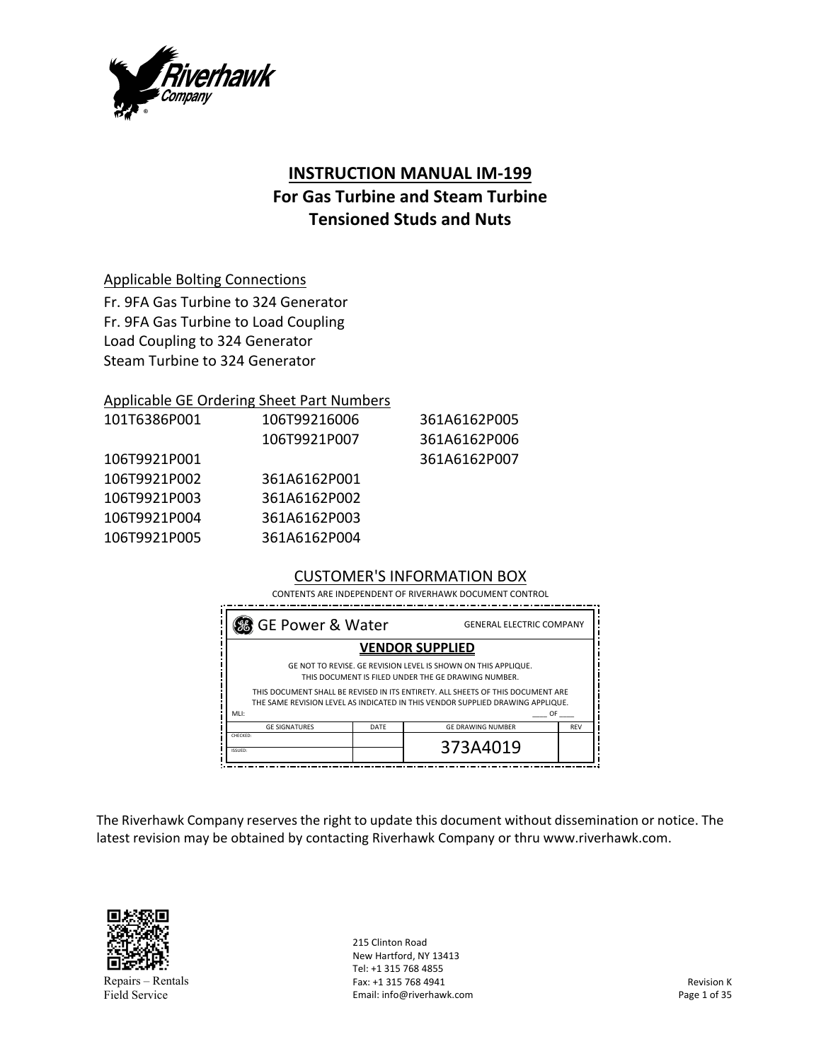

# **INSTRUCTION MANUAL IM‐199**

# **For Gas Turbine and Steam Turbine Tensioned Studs and Nuts**

### Applicable Bolting Connections

Fr. 9FA Gas Turbine to 324 Generator Fr. 9FA Gas Turbine to Load Coupling Load Coupling to 324 Generator Steam Turbine to 324 Generator

#### Applicable GE Ordering Sheet Part Numbers

| 101T6386P001 | 106T99216006 | 361A6162P005 |
|--------------|--------------|--------------|
|              | 106T9921P007 | 361A6162P006 |
| 106T9921P001 |              | 361A6162P007 |
| 106T9921P002 | 361A6162P001 |              |
| 106T9921P003 | 361A6162P002 |              |
| 106T9921P004 | 361A6162P003 |              |
| 106T9921P005 | 361A6162P004 |              |
|              |              |              |

### CUSTOMER'S INFORMATION BOX

CONTENTS ARE INDEPENDENT OF RIVERHAWK DOCUMENT CONTROL

| GE Power & Water<br><b>GENERAL ELECTRIC COMPANY</b>                                                                                                                                                                                                                                                       |  |                        |  |  |
|-----------------------------------------------------------------------------------------------------------------------------------------------------------------------------------------------------------------------------------------------------------------------------------------------------------|--|------------------------|--|--|
|                                                                                                                                                                                                                                                                                                           |  | <b>VENDOR SUPPLIED</b> |  |  |
| GE NOT TO REVISE. GE REVISION LEVEL IS SHOWN ON THIS APPLIQUE.<br>THIS DOCUMENT IS FILED UNDER THE GE DRAWING NUMBER.<br>THIS DOCUMENT SHALL BE REVISED IN ITS ENTIRETY. ALL SHEETS OF THIS DOCUMENT ARE<br>THE SAME REVISION LEVEL AS INDICATED IN THIS VENDOR SUPPLIED DRAWING APPLIQUE.<br>OF.<br>MLI: |  |                        |  |  |
| <b>GE SIGNATURES</b><br><b>GE DRAWING NUMBER</b><br><b>REV</b><br>DATE                                                                                                                                                                                                                                    |  |                        |  |  |
| CHECKED:<br>ISSUED:                                                                                                                                                                                                                                                                                       |  | 373A4019               |  |  |

The Riverhawk Company reserves the right to update this document without dissemination or notice. The latest revision may be obtained by contacting Riverhawk Company or thru www.riverhawk.com.



Repairs – Rentals Field Service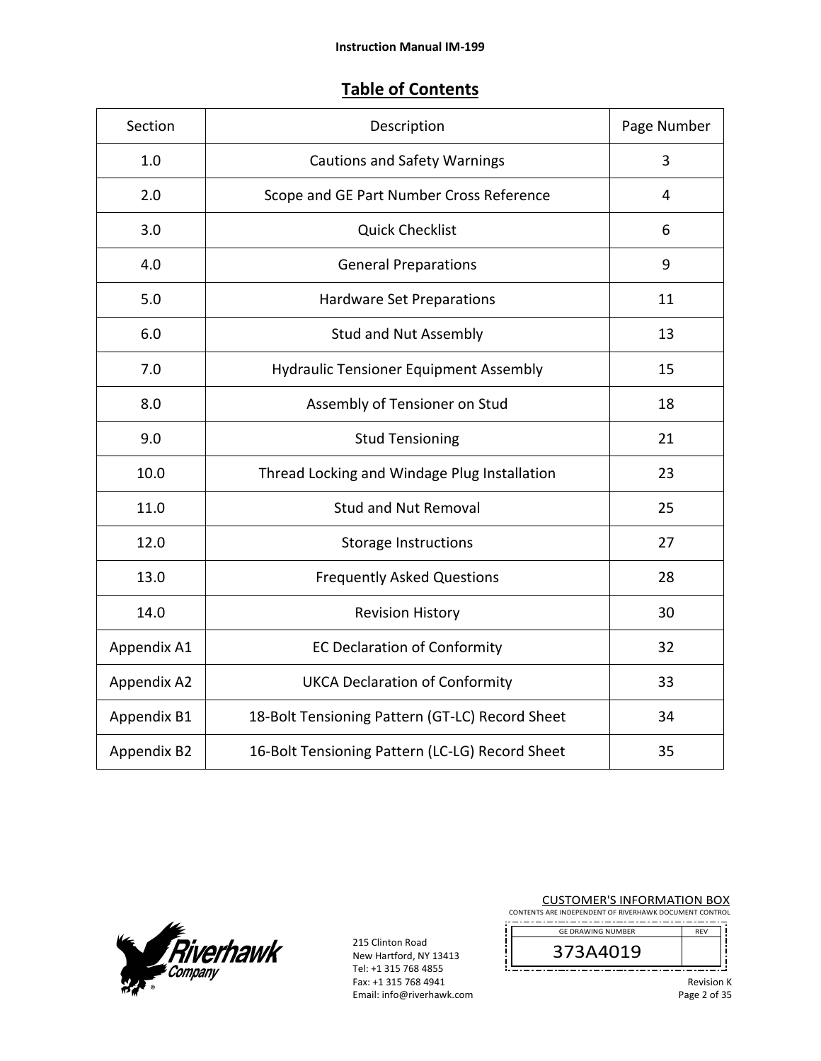# **Table of Contents**

| Section     | Description                                     | Page Number |
|-------------|-------------------------------------------------|-------------|
| 1.0         | <b>Cautions and Safety Warnings</b>             | 3           |
| 2.0         | Scope and GE Part Number Cross Reference        | 4           |
| 3.0         | <b>Quick Checklist</b>                          | 6           |
| 4.0         | <b>General Preparations</b>                     | 9           |
| 5.0         | <b>Hardware Set Preparations</b>                | 11          |
| 6.0         | <b>Stud and Nut Assembly</b>                    | 13          |
| 7.0         | <b>Hydraulic Tensioner Equipment Assembly</b>   | 15          |
| 8.0         | Assembly of Tensioner on Stud                   | 18          |
| 9.0         | <b>Stud Tensioning</b>                          | 21          |
| 10.0        | Thread Locking and Windage Plug Installation    | 23          |
| 11.0        | <b>Stud and Nut Removal</b>                     | 25          |
| 12.0        | <b>Storage Instructions</b>                     | 27          |
| 13.0        | <b>Frequently Asked Questions</b>               | 28          |
| 14.0        | <b>Revision History</b>                         | 30          |
| Appendix A1 | <b>EC Declaration of Conformity</b>             | 32          |
| Appendix A2 | <b>UKCA Declaration of Conformity</b>           | 33          |
| Appendix B1 | 18-Bolt Tensioning Pattern (GT-LC) Record Sheet | 34          |
| Appendix B2 | 16-Bolt Tensioning Pattern (LC-LG) Record Sheet | 35          |



215 Clinton Road<br>New Hartford New Hartford, NY 13413 Tel: +1 315 768 4855 Fax: +1 315 768 4941 Email: info@riverhawk.com

| <b>CUSTOMER'S INFORMATION BOX</b><br>CONTENTS ARE INDEPENDENT OF RIVERHAWK DOCUMENT CONTROL |                   |  |
|---------------------------------------------------------------------------------------------|-------------------|--|
| <b>GF DRAWING NUMBER</b>                                                                    | <b>RFV</b>        |  |
| 373A4019                                                                                    |                   |  |
|                                                                                             | <b>Revision K</b> |  |

 $\mathsf K$ Page 2 of 35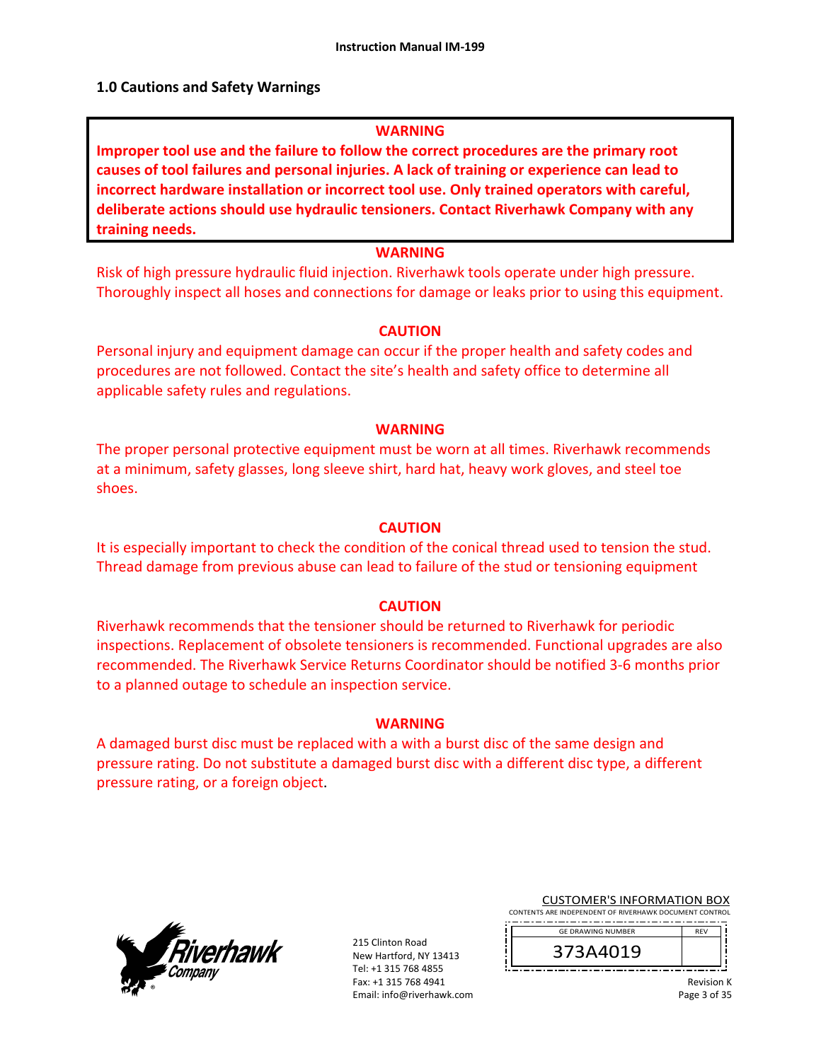### **1.0 Cautions and Safety Warnings**

#### **WARNING**

**Improper tool use and the failure to follow the correct procedures are the primary root causes of tool failures and personal injuries. A lack of training or experience can lead to incorrect hardware installation or incorrect tool use. Only trained operators with careful, deliberate actions should use hydraulic tensioners. Contact Riverhawk Company with any training needs.** 

### **WARNING**

Risk of high pressure hydraulic fluid injection. Riverhawk tools operate under high pressure. Thoroughly inspect all hoses and connections for damage or leaks prior to using this equipment.

#### **CAUTION**

Personal injury and equipment damage can occur if the proper health and safety codes and procedures are not followed. Contact the site's health and safety office to determine all applicable safety rules and regulations.

#### **WARNING**

The proper personal protective equipment must be worn at all times. Riverhawk recommends at a minimum, safety glasses, long sleeve shirt, hard hat, heavy work gloves, and steel toe shoes.

#### **CAUTION**

It is especially important to check the condition of the conical thread used to tension the stud. Thread damage from previous abuse can lead to failure of the stud or tensioning equipment

#### **CAUTION**

Riverhawk recommends that the tensioner should be returned to Riverhawk for periodic inspections. Replacement of obsolete tensioners is recommended. Functional upgrades are also recommended. The Riverhawk Service Returns Coordinator should be notified 3‐6 months prior to a planned outage to schedule an inspection service.

#### **WARNING**

A damaged burst disc must be replaced with a with a burst disc of the same design and pressure rating. Do not substitute a damaged burst disc with a different disc type, a different pressure rating, or a foreign object.



215 Clinton Road New Hartford, NY 13413 Tel: +1 315 768 4855 Fax: +1 315 768 4941 Email: info@riverhawk.com

CUSTOMER'S INFORMATION BOX CONTENTS ARE INDEPENDENT OF RIVERHAWK DOCUMENT CONTROL

 GE DRAWING NUMBER REV

373A4019

Revision K Page 3 of 35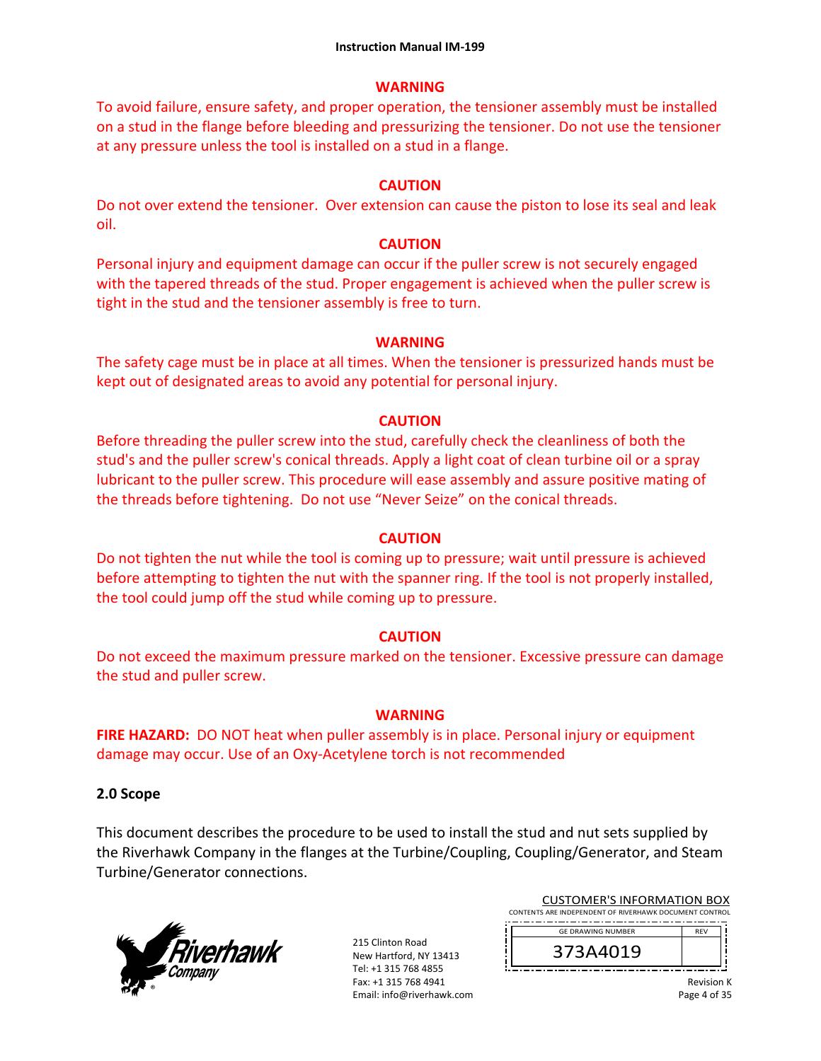### **WARNING**

To avoid failure, ensure safety, and proper operation, the tensioner assembly must be installed on a stud in the flange before bleeding and pressurizing the tensioner. Do not use the tensioner at any pressure unless the tool is installed on a stud in a flange.

# **CAUTION**

Do not over extend the tensioner. Over extension can cause the piston to lose its seal and leak oil.

## **CAUTION**

Personal injury and equipment damage can occur if the puller screw is not securely engaged with the tapered threads of the stud. Proper engagement is achieved when the puller screw is tight in the stud and the tensioner assembly is free to turn.

# **WARNING**

The safety cage must be in place at all times. When the tensioner is pressurized hands must be kept out of designated areas to avoid any potential for personal injury.

# **CAUTION**

Before threading the puller screw into the stud, carefully check the cleanliness of both the stud's and the puller screw's conical threads. Apply a light coat of clean turbine oil or a spray lubricant to the puller screw. This procedure will ease assembly and assure positive mating of the threads before tightening. Do not use "Never Seize" on the conical threads.

# **CAUTION**

Do not tighten the nut while the tool is coming up to pressure; wait until pressure is achieved before attempting to tighten the nut with the spanner ring. If the tool is not properly installed, the tool could jump off the stud while coming up to pressure.

# **CAUTION**

Do not exceed the maximum pressure marked on the tensioner. Excessive pressure can damage the stud and puller screw.

### **WARNING**

**FIRE HAZARD:** DO NOT heat when puller assembly is in place. Personal injury or equipment damage may occur. Use of an Oxy‐Acetylene torch is not recommended

### **2.0 Scope**

This document describes the procedure to be used to install the stud and nut sets supplied by the Riverhawk Company in the flanges at the Turbine/Coupling, Coupling/Generator, and Steam Turbine/Generator connections.



215 Clinton Road New Hartford, NY 13413 Tel: +1 315 768 4855 Fax: +1 315 768 4941 Email: info@riverhawk.com

| <b>CUSTOMER'S INFORMATION BOX</b>                      |                          |            |  |
|--------------------------------------------------------|--------------------------|------------|--|
| CONTENTS ARE INDEPENDENT OF RIVERHAWK DOCUMENT CONTROL |                          |            |  |
|                                                        | <b>GE DRAWING NUMBER</b> | <b>RFV</b> |  |
|                                                        | 373A4019                 |            |  |
|                                                        |                          |            |  |

Revision K Page 4 of 35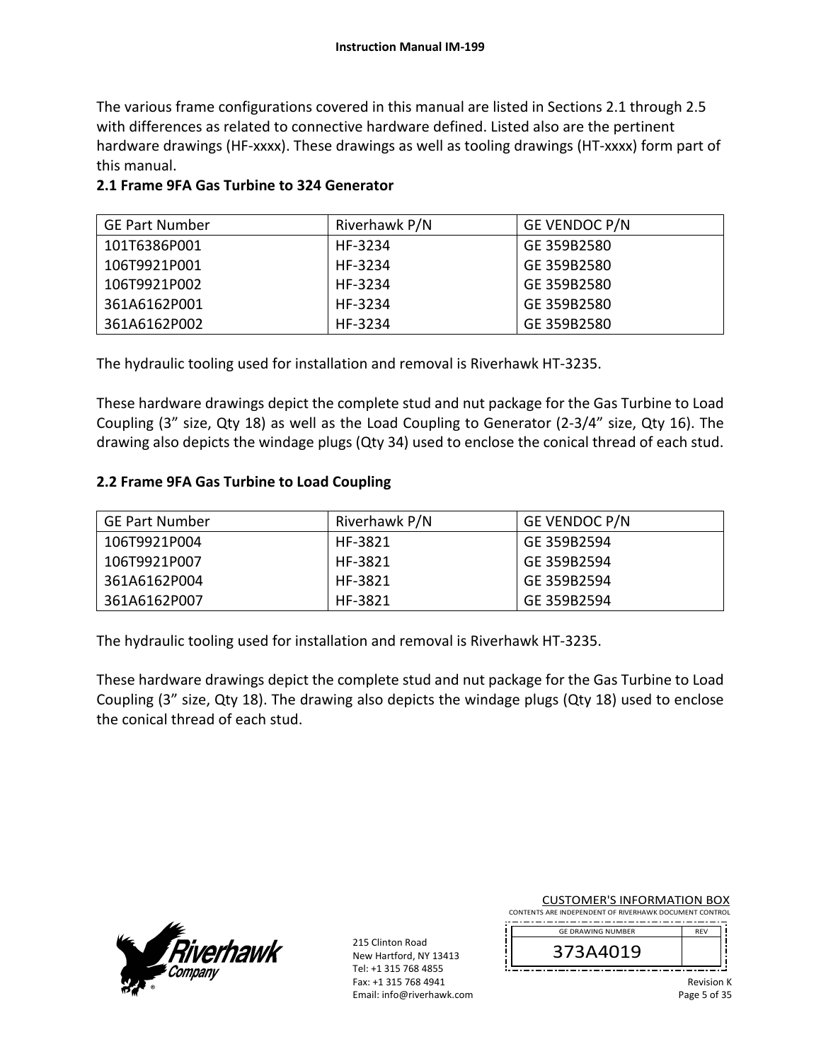The various frame configurations covered in this manual are listed in Sections 2.1 through 2.5 with differences as related to connective hardware defined. Listed also are the pertinent hardware drawings (HF-xxxx). These drawings as well as tooling drawings (HT-xxxx) form part of this manual.

# **2.1 Frame 9FA Gas Turbine to 324 Generator**

| <b>GE Part Number</b> | Riverhawk P/N | <b>GE VENDOC P/N</b> |
|-----------------------|---------------|----------------------|
| 101T6386P001          | HF-3234       | GE 359B2580          |
| 106T9921P001          | HF-3234       | GE 359B2580          |
| 106T9921P002          | HF-3234       | GE 359B2580          |
| 361A6162P001          | HF-3234       | GE 359B2580          |
| 361A6162P002          | HF-3234       | GE 359B2580          |

The hydraulic tooling used for installation and removal is Riverhawk HT‐3235.

These hardware drawings depict the complete stud and nut package for the Gas Turbine to Load Coupling (3" size, Qty 18) as well as the Load Coupling to Generator (2‐3/4" size, Qty 16). The drawing also depicts the windage plugs (Qty 34) used to enclose the conical thread of each stud.

# **2.2 Frame 9FA Gas Turbine to Load Coupling**

| <b>GE Part Number</b> | Riverhawk P/N | <b>GE VENDOC P/N</b> |
|-----------------------|---------------|----------------------|
| 106T9921P004          | HF-3821       | GE 359B2594          |
| 106T9921P007          | HF-3821       | GE 359B2594          |
| 361A6162P004          | HF-3821       | GE 359B2594          |
| 361A6162P007          | HF-3821       | GE 359B2594          |

The hydraulic tooling used for installation and removal is Riverhawk HT‐3235.

These hardware drawings depict the complete stud and nut package for the Gas Turbine to Load Coupling (3" size, Qty 18). The drawing also depicts the windage plugs (Qty 18) used to enclose the conical thread of each stud.



215 Clinton Road New Hartford, NY 13413 Tel: +1 315 768 4855 Fax: +1 315 768 4941 Email: info@riverhawk.com

| CONTENTS ARE INDEPENDENT OF RIVERHAWK DOCUMENT CONTROL |                          |            |  |
|--------------------------------------------------------|--------------------------|------------|--|
|                                                        | <b>GE DRAWING NUMBER</b> | <b>RFV</b> |  |
|                                                        | 373A4019                 |            |  |
|                                                        |                          |            |  |

CUSTOMER'S INFORMATION BOX

Revision K Page 5 of 35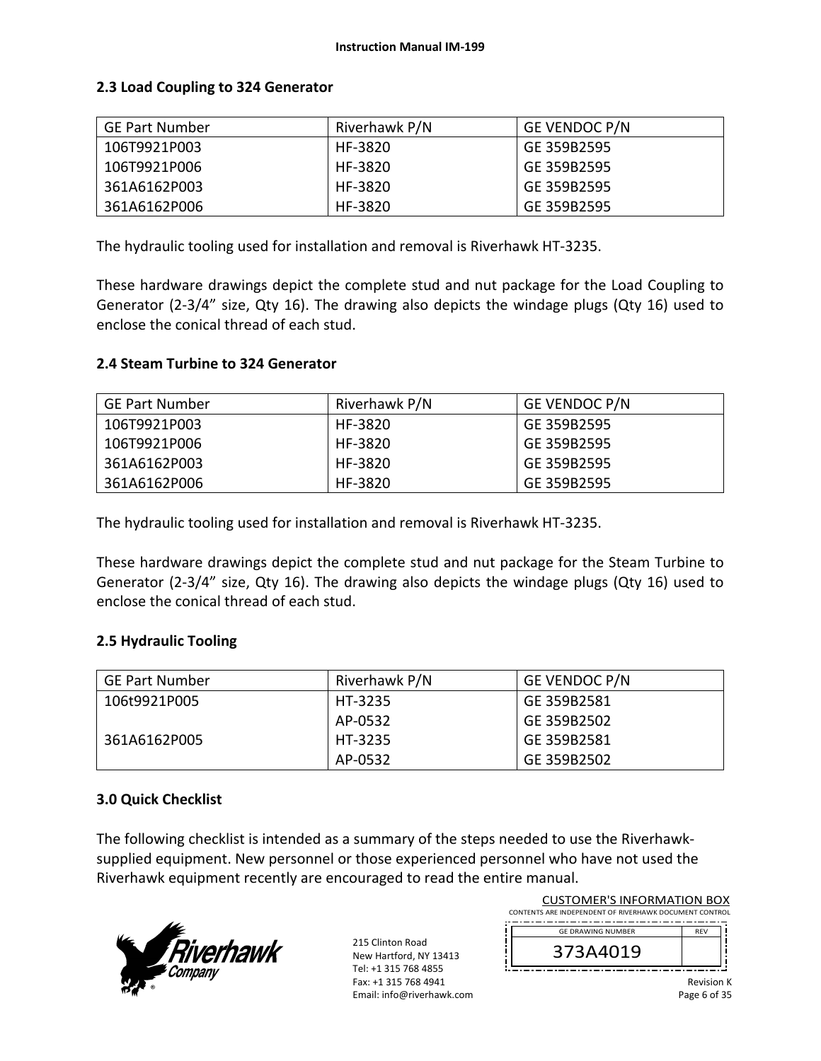# **2.3 Load Coupling to 324 Generator**

| <b>GE Part Number</b> | Riverhawk P/N | <b>GE VENDOC P/N</b> |
|-----------------------|---------------|----------------------|
| 106T9921P003          | HF-3820       | GE 359B2595          |
| 106T9921P006          | HF-3820       | GE 359B2595          |
| 361A6162P003          | HF-3820       | GE 359B2595          |
| 361A6162P006          | HF-3820       | GE 359B2595          |

The hydraulic tooling used for installation and removal is Riverhawk HT‐3235.

These hardware drawings depict the complete stud and nut package for the Load Coupling to Generator (2-3/4" size, Qty 16). The drawing also depicts the windage plugs (Qty 16) used to enclose the conical thread of each stud.

### **2.4 Steam Turbine to 324 Generator**

| <b>GE Part Number</b> | Riverhawk P/N | <b>GE VENDOC P/N</b> |
|-----------------------|---------------|----------------------|
| 106T9921P003          | HF-3820       | GE 359B2595          |
| 106T9921P006          | HF-3820       | GE 359B2595          |
| 361A6162P003          | HF-3820       | GE 359B2595          |
| 361A6162P006          | HF-3820       | GE 359B2595          |

The hydraulic tooling used for installation and removal is Riverhawk HT‐3235.

These hardware drawings depict the complete stud and nut package for the Steam Turbine to Generator (2-3/4" size, Qty 16). The drawing also depicts the windage plugs (Qty 16) used to enclose the conical thread of each stud.

### **2.5 Hydraulic Tooling**

| <b>GE Part Number</b> | Riverhawk P/N | <b>GE VENDOC P/N</b> |
|-----------------------|---------------|----------------------|
| 106t9921P005          | HT-3235       | GE 359B2581          |
|                       | AP-0532       | GE 359B2502          |
| 361A6162P005          | HT-3235       | GE 359B2581          |
|                       | AP-0532       | GE 359B2502          |

### **3.0 Quick Checklist**

The following checklist is intended as a summary of the steps needed to use the Riverhawk‐ supplied equipment. New personnel or those experienced personnel who have not used the Riverhawk equipment recently are encouraged to read the entire manual.



215 Clinton Road New Hartford, NY 13413 Tel: +1 315 768 4855 Fax: +1 315 768 4941 Email: info@riverhawk.com ï i

| <b>CUSTOMER'S INFORMATION BOX</b>                      |            |  |  |
|--------------------------------------------------------|------------|--|--|
| CONTENTS ARE INDEPENDENT OF RIVERHAWK DOCUMENT CONTROL |            |  |  |
| <b>GE DRAWING NUMBER</b>                               | <b>RFV</b> |  |  |
| 373A4019                                               |            |  |  |
|                                                        |            |  |  |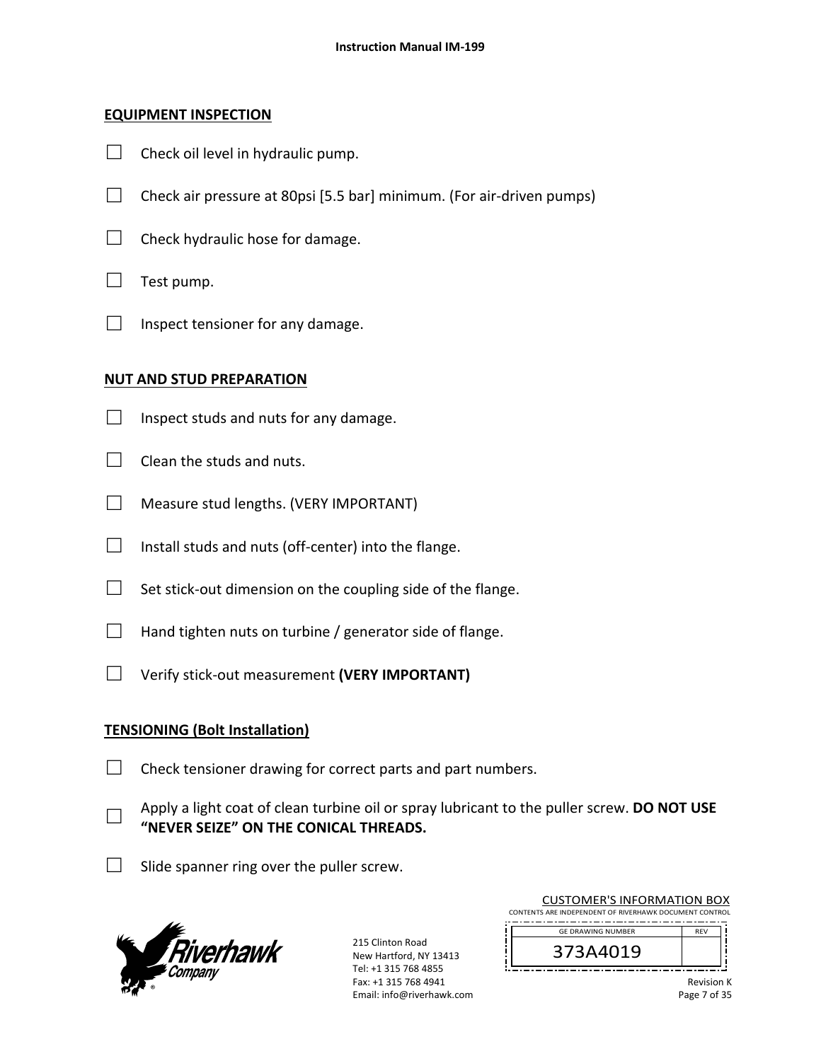# **EQUIPMENT INSPECTION**

- $\Box$  Check oil level in hydraulic pump.
- $\Box$  Check air pressure at 80psi [5.5 bar] minimum. (For air-driven pumps)
- $\Box$  Check hydraulic hose for damage.
- $\Box$  Test pump.
- $\Box$  Inspect tensioner for any damage.

# **NUT AND STUD PREPARATION**

- $\Box$  Inspect studs and nuts for any damage.
- $\Box$  Clean the studs and nuts.
- □ Measure stud lengths. (VERY IMPORTANT)
- $\Box$  Install studs and nuts (off-center) into the flange.
- $\Box$  Set stick-out dimension on the coupling side of the flange.
- $\Box$  Hand tighten nuts on turbine / generator side of flange.
- □ Verify stick‐out measurement **(VERY IMPORTANT)**

# **TENSIONING (Bolt Installation)**

 $\Box$  Check tensioner drawing for correct parts and part numbers.

- □ Apply a light coat of clean turbine oil or spray lubricant to the puller screw. **DO NOT USE "NEVER SEIZE" ON THE CONICAL THREADS.**
- $\Box$  Slide spanner ring over the puller screw.



| <b>CUSTOMER'S INFORMATION BOX</b><br>CONTENTS ARE INDEPENDENT OF RIVERHAWK DOCUMENT CONTROL |            |
|---------------------------------------------------------------------------------------------|------------|
| <b>GE DRAWING NUMBER</b>                                                                    | <b>RFV</b> |
| 373A4019                                                                                    |            |
|                                                                                             |            |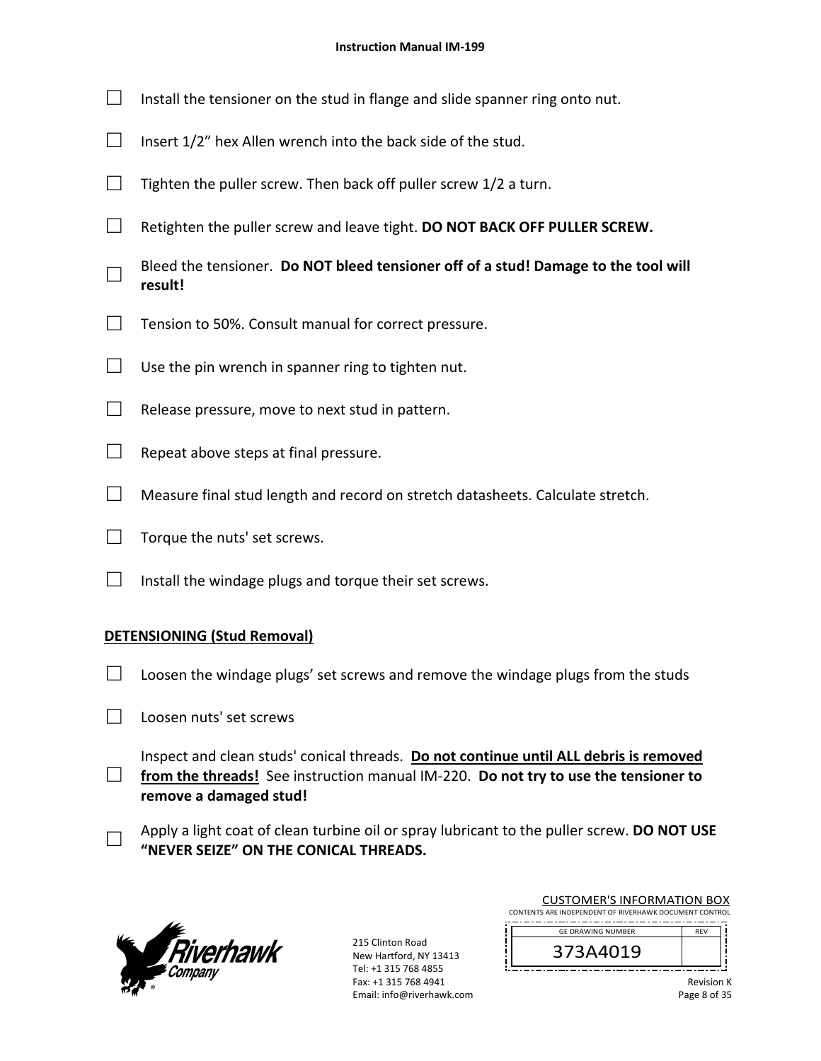- $\Box$  Install the tensioner on the stud in flange and slide spanner ring onto nut.
- $\Box$  Insert 1/2" hex Allen wrench into the back side of the stud.
- $\Box$  Tighten the puller screw. Then back off puller screw 1/2 a turn.
- □ Retighten the puller screw and leave tight. **DO NOT BACK OFF PULLER SCREW.**
- □ Bleed the tensioner. **Do NOT bleed tensioner off of a stud! Damage to the tool will result!**
- $\Box$  Tension to 50%. Consult manual for correct pressure.
- $\Box$  Use the pin wrench in spanner ring to tighten nut.
- $\Box$  Release pressure, move to next stud in pattern.
- $\Box$  Repeat above steps at final pressure.
- $\Box$  Measure final stud length and record on stretch datasheets. Calculate stretch.
- $\Box$  Torque the nuts' set screws.
- $\Box$  Install the windage plugs and torque their set screws.

### **DETENSIONING (Stud Removal)**

- $\Box$  Loosen the windage plugs' set screws and remove the windage plugs from the studs
- $\Box$  Loosen nuts' set screws

□ Inspect and clean studs' conical threads. **Do not continue until ALL debris is removed**  from the threads! See instruction manual IM-220. Do not try to use the tensioner to **remove a damaged stud!** 

□ Apply a light coat of clean turbine oil or spray lubricant to the puller screw. **DO NOT USE "NEVER SEIZE" ON THE CONICAL THREADS.**



215 Clinton Road New Hartford, NY 13413 Tel: +1 315 768 4855 Fax: +1 315 768 4941 Email: info@riverhawk.com

| CONTENTS ARE INDEPENDENT OF RIVERHAWK DOCUMENT CONTROL |            |
|--------------------------------------------------------|------------|
| <b>GE DRAWING NUMBER</b>                               | <b>RFV</b> |
| 373A4019                                               |            |
|                                                        |            |

CUSTOMER'S INFORMATION BOX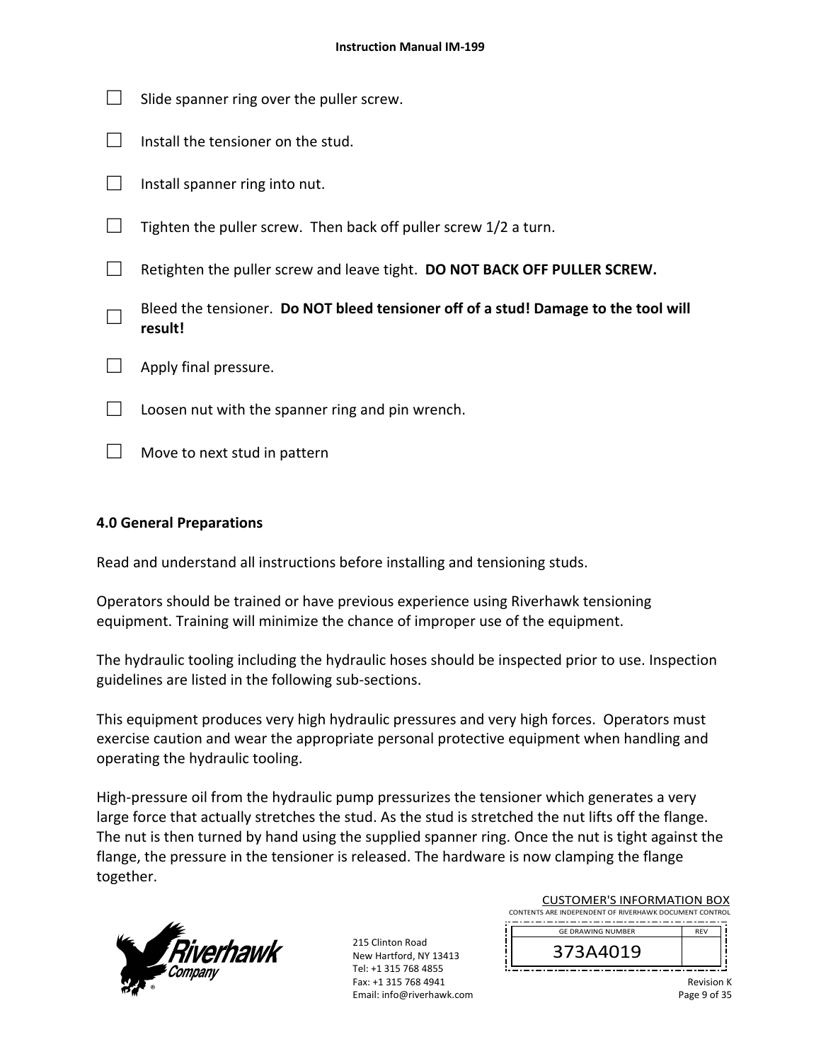| Slide spanner ring over the puller screw.                                                     |
|-----------------------------------------------------------------------------------------------|
| Install the tensioner on the stud.                                                            |
| Install spanner ring into nut.                                                                |
| Tighten the puller screw. Then back off puller screw 1/2 a turn.                              |
| Retighten the puller screw and leave tight. DO NOT BACK OFF PULLER SCREW.                     |
| Bleed the tensioner. Do NOT bleed tensioner off of a stud! Damage to the tool will<br>result! |
| Apply final pressure.                                                                         |
| Loosen nut with the spanner ring and pin wrench.                                              |
| Move to next stud in pattern                                                                  |

# **4.0 General Preparations**

Read and understand all instructions before installing and tensioning studs.

Operators should be trained or have previous experience using Riverhawk tensioning equipment. Training will minimize the chance of improper use of the equipment.

The hydraulic tooling including the hydraulic hoses should be inspected prior to use. Inspection guidelines are listed in the following sub‐sections.

This equipment produces very high hydraulic pressures and very high forces. Operators must exercise caution and wear the appropriate personal protective equipment when handling and operating the hydraulic tooling.

High-pressure oil from the hydraulic pump pressurizes the tensioner which generates a very large force that actually stretches the stud. As the stud is stretched the nut lifts off the flange. The nut is then turned by hand using the supplied spanner ring. Once the nut is tight against the flange, the pressure in the tensioner is released. The hardware is now clamping the flange together.



215 Clinton Road New Hartford, NY 13413 Tel: +1 315 768 4855 Fax: +1 315 768 4941 Email: info@riverhawk.com

| CUSTOMER S INFORMATION BOX<br>CONTENTS ARE INDEPENDENT OF RIVERHAWK DOCUMENT CONTROL |            |  |
|--------------------------------------------------------------------------------------|------------|--|
|                                                                                      |            |  |
| <b>GE DRAWING NUMBER</b>                                                             | <b>RFV</b> |  |
|                                                                                      |            |  |

CUCTOMERIC INFORMATION BOX

Revision K Page 9 of 35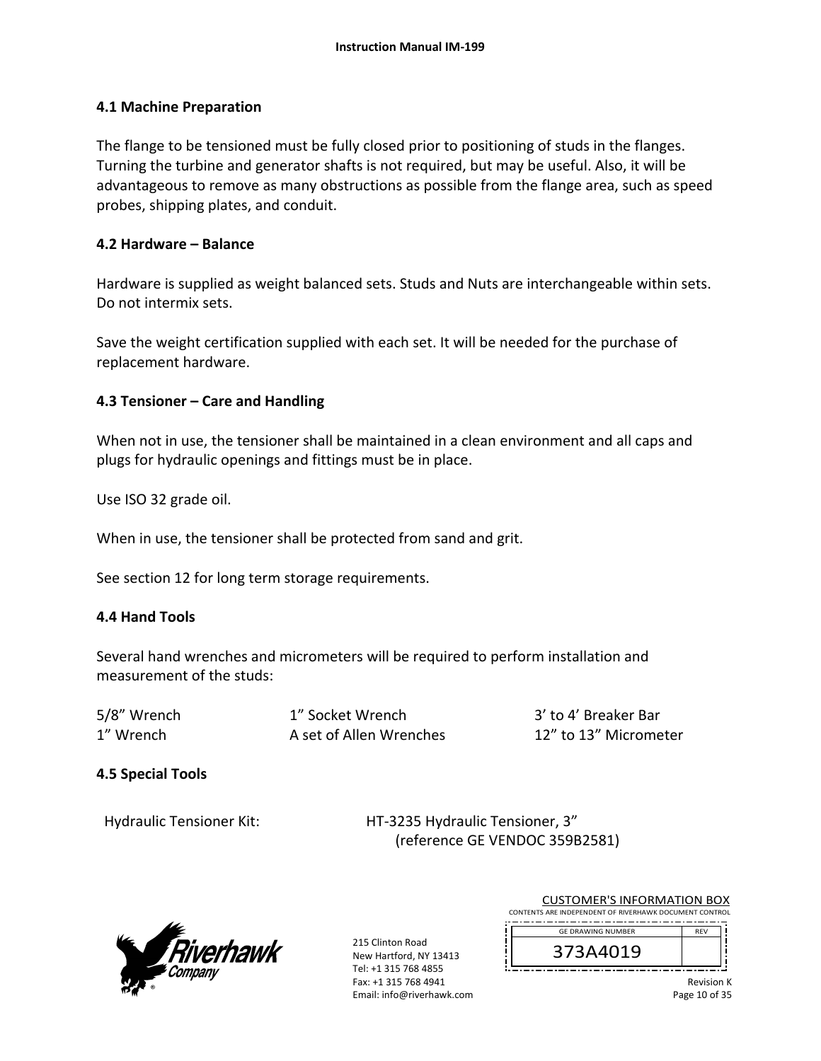### **4.1 Machine Preparation**

The flange to be tensioned must be fully closed prior to positioning of studs in the flanges. Turning the turbine and generator shafts is not required, but may be useful. Also, it will be advantageous to remove as many obstructions as possible from the flange area, such as speed probes, shipping plates, and conduit.

### **4.2 Hardware – Balance**

Hardware is supplied as weight balanced sets. Studs and Nuts are interchangeable within sets. Do not intermix sets.

Save the weight certification supplied with each set. It will be needed for the purchase of replacement hardware.

# **4.3 Tensioner – Care and Handling**

When not in use, the tensioner shall be maintained in a clean environment and all caps and plugs for hydraulic openings and fittings must be in place.

Use ISO 32 grade oil.

When in use, the tensioner shall be protected from sand and grit.

See section 12 for long term storage requirements.

# **4.4 Hand Tools**

Several hand wrenches and micrometers will be required to perform installation and measurement of the studs:

| 5/8" Wrench | 1" Socket Wrench        | 3' to 4' Breaker Bar  |
|-------------|-------------------------|-----------------------|
| 1" Wrench   | A set of Allen Wrenches | 12" to 13" Micrometer |

# **4.5 Special Tools**

Hydraulic Tensioner Kit: 
HT-3235 Hydraulic Tensioner, 3" (reference GE VENDOC 359B2581)



215 Clinton Road New Hartford, NY 13413 Tel: +1 315 768 4855 Fax: +1 315 768 4941 Email: info@riverhawk.com

| <b>CUSTOMER'S INFORMATION BOX</b>                      |            |  |
|--------------------------------------------------------|------------|--|
| CONTENTS ARE INDEPENDENT OF RIVERHAWK DOCUMENT CONTROL |            |  |
| <b>GE DRAWING NUMBER</b>                               | <b>RFV</b> |  |
| 373A4019                                               |            |  |

Revision K Page 10 of 35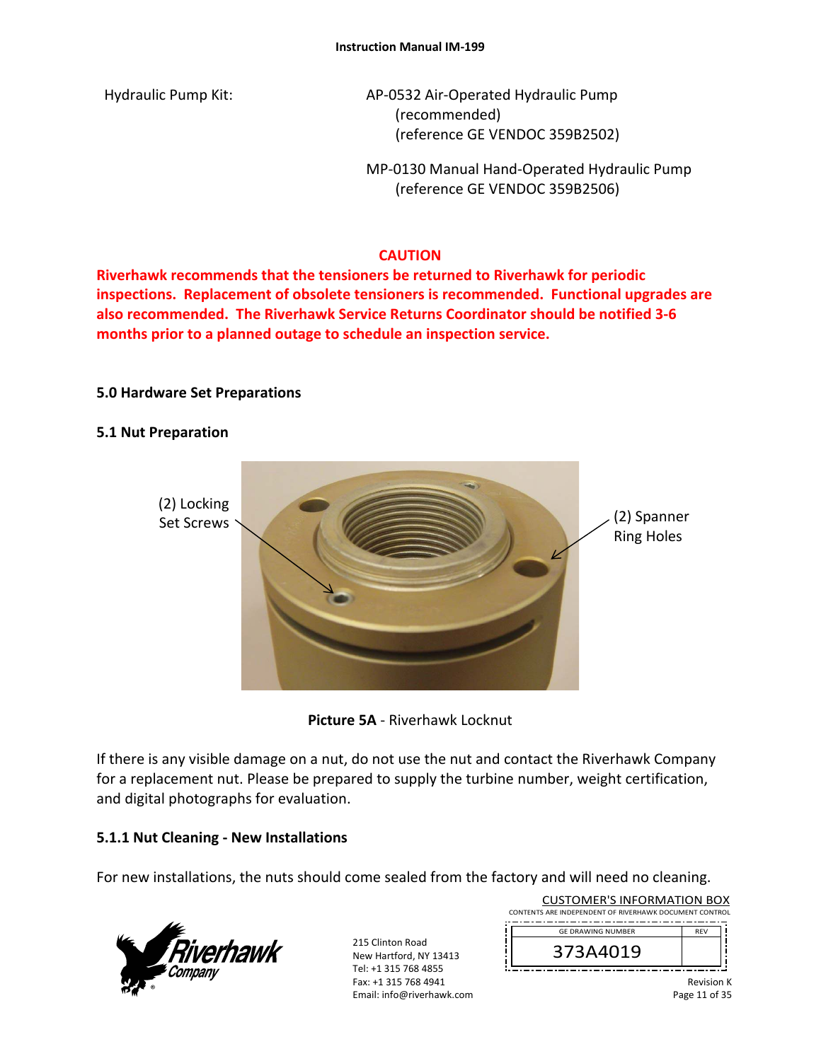Hydraulic Pump Kit: AP-0532 Air-Operated Hydraulic Pump (recommended) (reference GE VENDOC 359B2502)

> MP‐0130 Manual Hand‐Operated Hydraulic Pump (reference GE VENDOC 359B2506)

# **CAUTION**

**Riverhawk recommends that the tensioners be returned to Riverhawk for periodic inspections. Replacement of obsolete tensioners is recommended. Functional upgrades are also recommended. The Riverhawk Service Returns Coordinator should be notified 3‐6 months prior to a planned outage to schedule an inspection service.** 

# **5.0 Hardware Set Preparations**

### **5.1 Nut Preparation**





If there is any visible damage on a nut, do not use the nut and contact the Riverhawk Company for a replacement nut. Please be prepared to supply the turbine number, weight certification, and digital photographs for evaluation.

# **5.1.1 Nut Cleaning ‐ New Installations**

For new installations, the nuts should come sealed from the factory and will need no cleaning.



215 Clinton Road New Hartford, NY 13413 Tel: +1 315 768 4855 Fax: +1 315 768 4941 Email: info@riverhawk.com ï

| <b>CUSTOMER'S INFORMATION BOX</b><br>CONTENTS ARE INDEPENDENT OF RIVERHAWK DOCUMENT CONTROL |            |  |
|---------------------------------------------------------------------------------------------|------------|--|
| <b>GF DRAWING NUMBER</b>                                                                    | <b>RFV</b> |  |
| 373A4019                                                                                    |            |  |
|                                                                                             |            |  |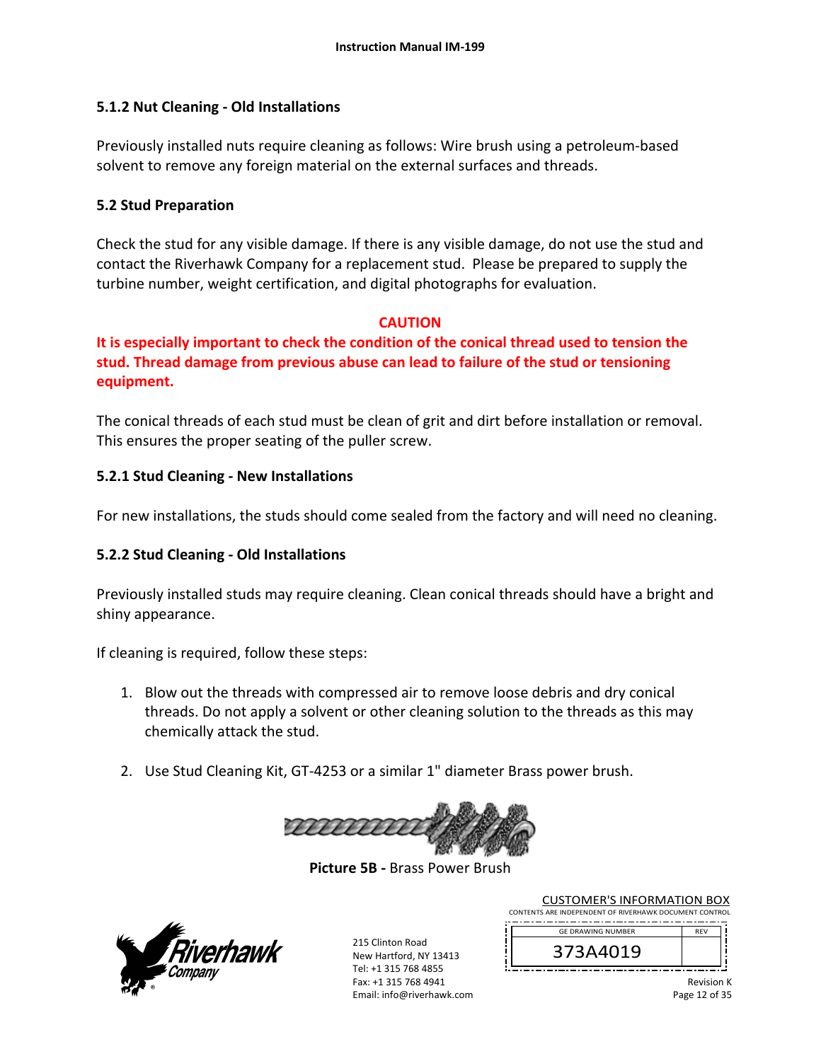# **5.1.2 Nut Cleaning ‐ Old Installations**

Previously installed nuts require cleaning as follows: Wire brush using a petroleum‐based solvent to remove any foreign material on the external surfaces and threads.

### **5.2 Stud Preparation**

Check the stud for any visible damage. If there is any visible damage, do not use the stud and contact the Riverhawk Company for a replacement stud. Please be prepared to supply the turbine number, weight certification, and digital photographs for evaluation.

# **CAUTION**

**It is especially important to check the condition of the conical thread used to tension the stud. Thread damage from previous abuse can lead to failure of the stud or tensioning equipment.**

The conical threads of each stud must be clean of grit and dirt before installation or removal. This ensures the proper seating of the puller screw.

# **5.2.1 Stud Cleaning ‐ New Installations**

For new installations, the studs should come sealed from the factory and will need no cleaning.

# **5.2.2 Stud Cleaning ‐ Old Installations**

Previously installed studs may require cleaning. Clean conical threads should have a bright and shiny appearance.

If cleaning is required, follow these steps:

- 1. Blow out the threads with compressed air to remove loose debris and dry conical threads. Do not apply a solvent or other cleaning solution to the threads as this may chemically attack the stud.
- 2. Use Stud Cleaning Kit, GT‐4253 or a similar 1" diameter Brass power brush.



**Picture 5B ‐** Brass Power Brush



215 Clinton Road New Hartford, NY 13413 Tel: +1 315 768 4855 Fax: +1 315 768 4941 Email: info@riverhawk.com

| CONTENTS ARE INDEPENDENT OF RIVERHAWK DOCUMENT CONTROL |            |  |
|--------------------------------------------------------|------------|--|
| <b>GE DRAWING NUMBER</b>                               | <b>RFV</b> |  |
| 373A4019                                               |            |  |

CUSTOMER'S INFORMATION BOX

Revision K Page 12 of 35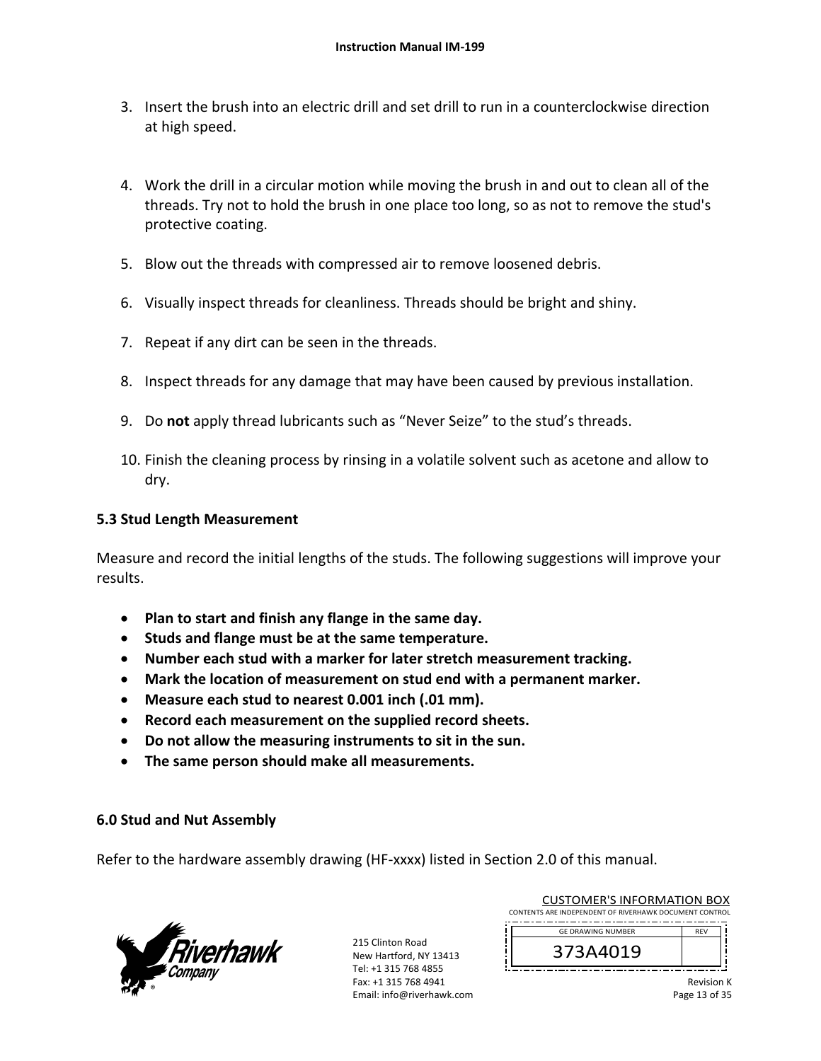- 3. Insert the brush into an electric drill and set drill to run in a counterclockwise direction at high speed.
- 4. Work the drill in a circular motion while moving the brush in and out to clean all of the threads. Try not to hold the brush in one place too long, so as not to remove the stud's protective coating.
- 5. Blow out the threads with compressed air to remove loosened debris.
- 6. Visually inspect threads for cleanliness. Threads should be bright and shiny.
- 7. Repeat if any dirt can be seen in the threads.
- 8. Inspect threads for any damage that may have been caused by previous installation.
- 9. Do **not** apply thread lubricants such as "Never Seize" to the stud's threads.
- 10. Finish the cleaning process by rinsing in a volatile solvent such as acetone and allow to dry.

### **5.3 Stud Length Measurement**

Measure and record the initial lengths of the studs. The following suggestions will improve your results.

- **Plan to start and finish any flange in the same day.**
- **Studs and flange must be at the same temperature.**
- **Number each stud with a marker for later stretch measurement tracking.**
- **Mark the location of measurement on stud end with a permanent marker.**
- **Measure each stud to nearest 0.001 inch (.01 mm).**
- **Record each measurement on the supplied record sheets.**
- **Do not allow the measuring instruments to sit in the sun.**
- **The same person should make all measurements.**

### **6.0 Stud and Nut Assembly**

Refer to the hardware assembly drawing (HF-xxxx) listed in Section 2.0 of this manual.



215 Clinton Road New Hartford, NY 13413 Tel: +1 315 768 4855 Fax: +1 315 768 4941 Email: info@riverhawk.com

| CONTENTS ARE INDEPENDENT OF RIVERHAWK DOCUMENT CONTROL |     |  |
|--------------------------------------------------------|-----|--|
|                                                        |     |  |
| <b>GE DRAWING NUMBER</b>                               | RFV |  |
| 373A4019                                               |     |  |
|                                                        |     |  |

CUSTOMER'S INFORMATION BOX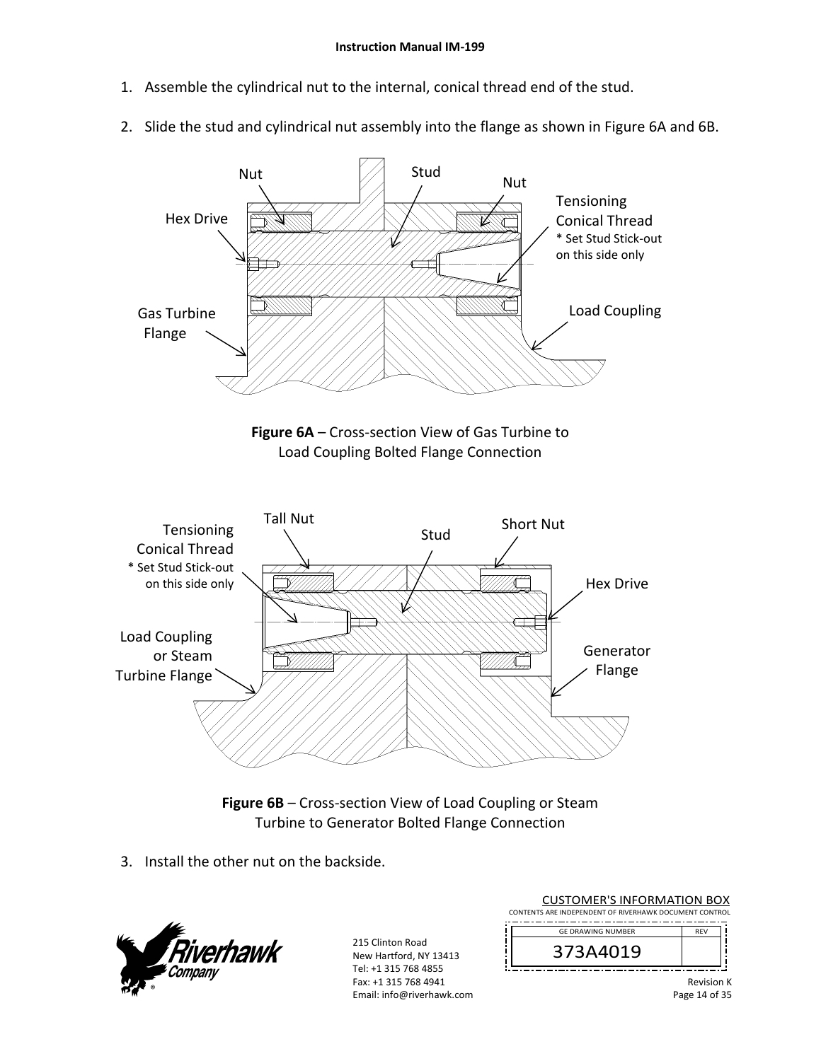- 1. Assemble the cylindrical nut to the internal, conical thread end of the stud.
- 2. Slide the stud and cylindrical nut assembly into the flange as shown in Figure 6A and 6B.



**Figure 6B** – Cross‐section View of Load Coupling or Steam Turbine to Generator Bolted Flange Connection

3. Install the other nut on the backside.



215 Clinton Road New Hartford, NY 13413 Tel: +1 315 768 4855 Fax: +1 315 768 4941 Email: info@riverhawk.com

| <b>CUSTOMER'S INFORMATION BOX</b><br>CONTENTS ARE INDEPENDENT OF RIVERHAWK DOCUMENT CONTROL |            |  |
|---------------------------------------------------------------------------------------------|------------|--|
| <b>GF DRAWING NUMBER</b>                                                                    | <b>RFV</b> |  |
| 373A4019                                                                                    |            |  |
|                                                                                             |            |  |

Revision K Page 14 of 35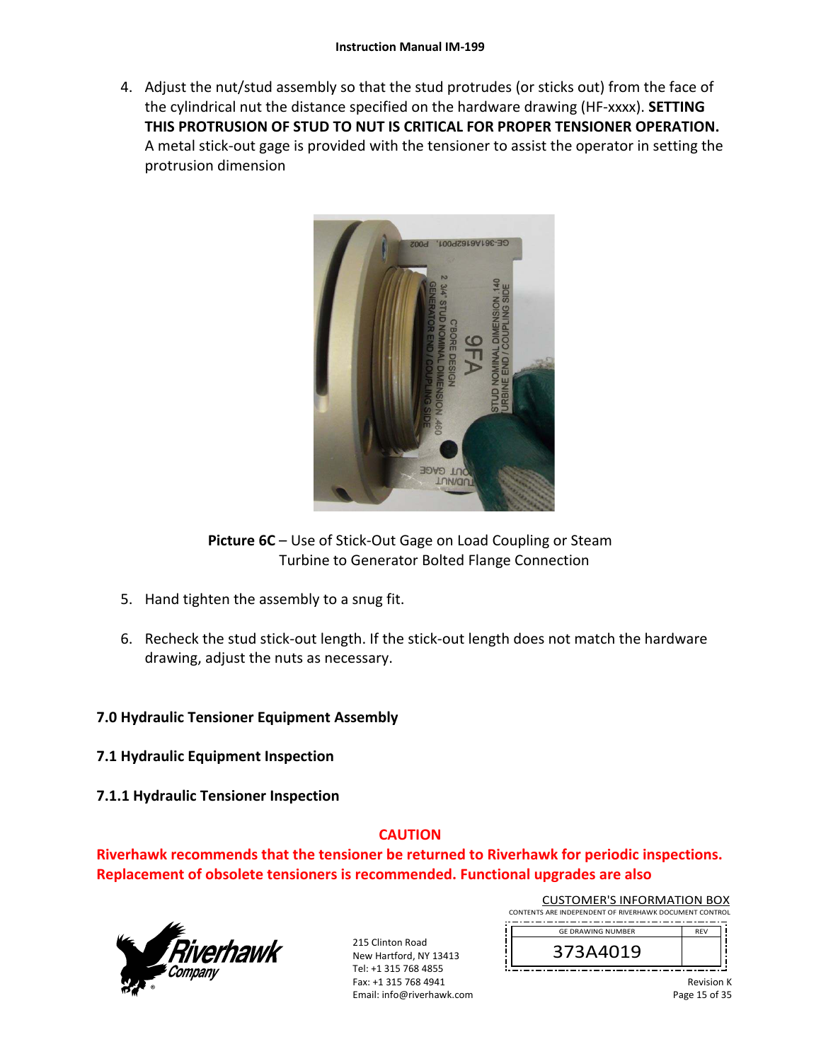4. Adjust the nut/stud assembly so that the stud protrudes (or sticks out) from the face of the cylindrical nut the distance specified on the hardware drawing (HF‐xxxx). **SETTING THIS PROTRUSION OF STUD TO NUT IS CRITICAL FOR PROPER TENSIONER OPERATION.** A metal stick‐out gage is provided with the tensioner to assist the operator in setting the protrusion dimension



**Picture 6C** – Use of Stick‐Out Gage on Load Coupling or Steam Turbine to Generator Bolted Flange Connection

- 5. Hand tighten the assembly to a snug fit.
- 6. Recheck the stud stick‐out length. If the stick‐out length does not match the hardware drawing, adjust the nuts as necessary.

# **7.0 Hydraulic Tensioner Equipment Assembly**

- **7.1 Hydraulic Equipment Inspection**
- **7.1.1 Hydraulic Tensioner Inspection**

# **CAUTION**

**Riverhawk recommends that the tensioner be returned to Riverhawk for periodic inspections. Replacement of obsolete tensioners is recommended. Functional upgrades are also** 



215 Clinton Road New Hartford, NY 13413 Tel: +1 315 768 4855 Fax: +1 315 768 4941 Email: info@riverhawk.com Ï

| CONTENTS ARE INDEPENDENT OF RIVERHAWK DOCUMENT CONTROL |            |  |
|--------------------------------------------------------|------------|--|
| <b>GE DRAWING NUMBER</b>                               | <b>RFV</b> |  |
| 373A4019                                               |            |  |

CUSTOMER'S INFORMATION BOX

Revision K Page 15 of 35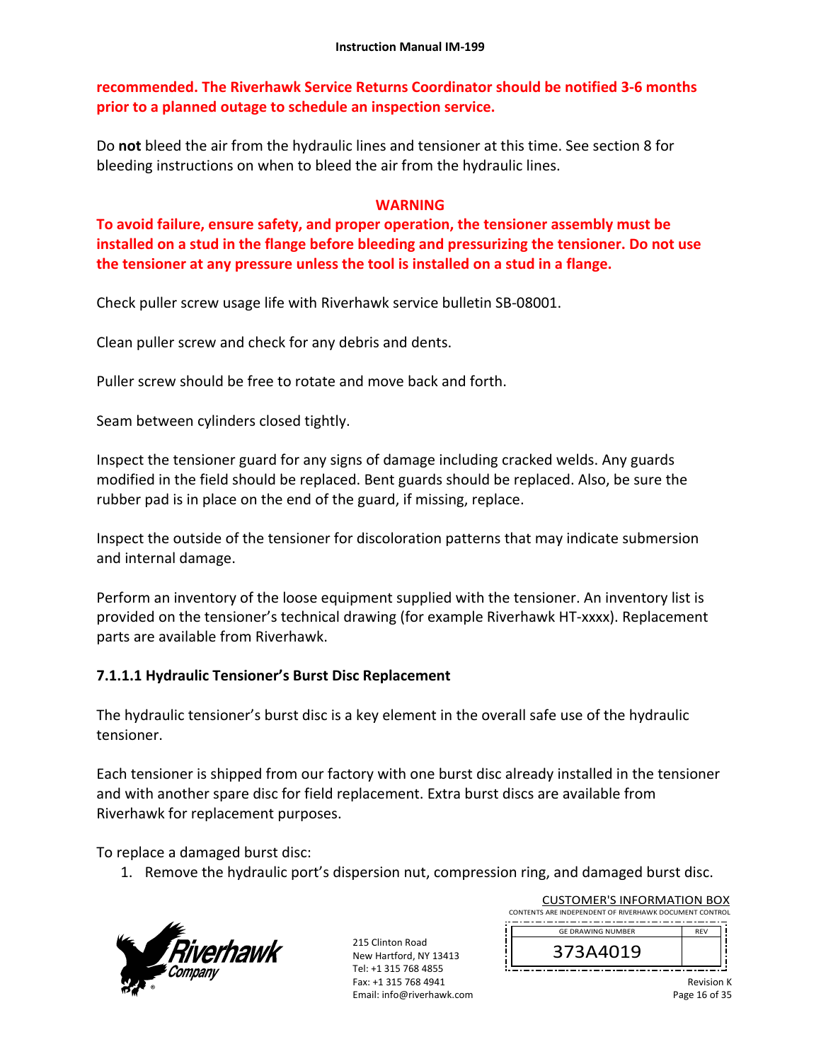**recommended. The Riverhawk Service Returns Coordinator should be notified 3‐6 months prior to a planned outage to schedule an inspection service.** 

Do **not** bleed the air from the hydraulic lines and tensioner at this time. See section 8 for bleeding instructions on when to bleed the air from the hydraulic lines.

### **WARNING**

**To avoid failure, ensure safety, and proper operation, the tensioner assembly must be installed on a stud in the flange before bleeding and pressurizing the tensioner. Do not use the tensioner at any pressure unless the tool is installed on a stud in a flange.** 

Check puller screw usage life with Riverhawk service bulletin SB‐08001.

Clean puller screw and check for any debris and dents.

Puller screw should be free to rotate and move back and forth.

Seam between cylinders closed tightly.

Inspect the tensioner guard for any signs of damage including cracked welds. Any guards modified in the field should be replaced. Bent guards should be replaced. Also, be sure the rubber pad is in place on the end of the guard, if missing, replace.

Inspect the outside of the tensioner for discoloration patterns that may indicate submersion and internal damage.

Perform an inventory of the loose equipment supplied with the tensioner. An inventory list is provided on the tensioner's technical drawing (for example Riverhawk HT‐xxxx). Replacement parts are available from Riverhawk.

### **7.1.1.1 Hydraulic Tensioner's Burst Disc Replacement**

The hydraulic tensioner's burst disc is a key element in the overall safe use of the hydraulic tensioner.

Each tensioner is shipped from our factory with one burst disc already installed in the tensioner and with another spare disc for field replacement. Extra burst discs are available from Riverhawk for replacement purposes.

To replace a damaged burst disc:

1. Remove the hydraulic port's dispersion nut, compression ring, and damaged burst disc.



| <b>CUSTOMER'S INFORMATION BOX</b>                      |            |  |
|--------------------------------------------------------|------------|--|
| CONTENTS ARE INDEPENDENT OF RIVERHAWK DOCUMENT CONTROL |            |  |
| <b>GE DRAWING NUMBER</b>                               | <b>RFV</b> |  |
|                                                        |            |  |
| 373A4019                                               |            |  |
|                                                        |            |  |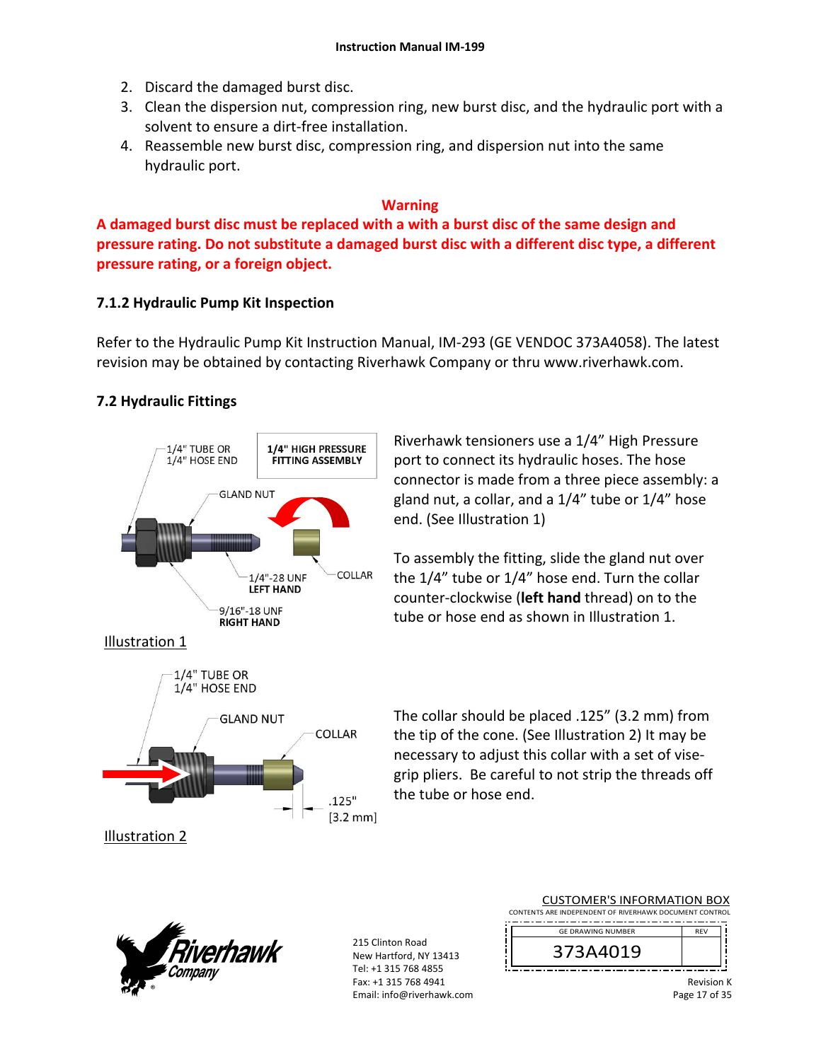- 2. Discard the damaged burst disc.
- 3. Clean the dispersion nut, compression ring, new burst disc, and the hydraulic port with a solvent to ensure a dirt‐free installation.
- 4. Reassemble new burst disc, compression ring, and dispersion nut into the same hydraulic port.

### **Warning**

**A damaged burst disc must be replaced with a with a burst disc of the same design and pressure rating. Do not substitute a damaged burst disc with a different disc type, a different pressure rating, or a foreign object.**

# **7.1.2 Hydraulic Pump Kit Inspection**

Refer to the Hydraulic Pump Kit Instruction Manual, IM‐293 (GE VENDOC 373A4058). The latest revision may be obtained by contacting Riverhawk Company or thru www.riverhawk.com.

# **7.2 Hydraulic Fittings**



Riverhawk tensioners use a 1/4" High Pressure port to connect its hydraulic hoses. The hose connector is made from a three piece assembly: a gland nut, a collar, and a 1/4" tube or 1/4" hose end. (See Illustration 1)

To assembly the fitting, slide the gland nut over the 1/4" tube or 1/4" hose end. Turn the collar counter‐clockwise (**left hand** thread) on to the tube or hose end as shown in Illustration 1.



The collar should be placed .125" (3.2 mm) from the tip of the cone. (See Illustration 2) It may be necessary to adjust this collar with a set of vise‐ grip pliers. Be careful to not strip the threads off the tube or hose end.



215 Clinton Road New Hartford, NY 13413 Tel: +1 315 768 4855 Fax: +1 315 768 4941 Email: info@riverhawk.com

| CONTENTS ARE INDEPENDENT OF RIVERHAWK DOCUMENT CONTROL |            |  |
|--------------------------------------------------------|------------|--|
| <b>GE DRAWING NUMBER</b>                               | <b>RFV</b> |  |
| 373A4019                                               |            |  |
|                                                        |            |  |

CUSTOMER'S INFORMATION BOX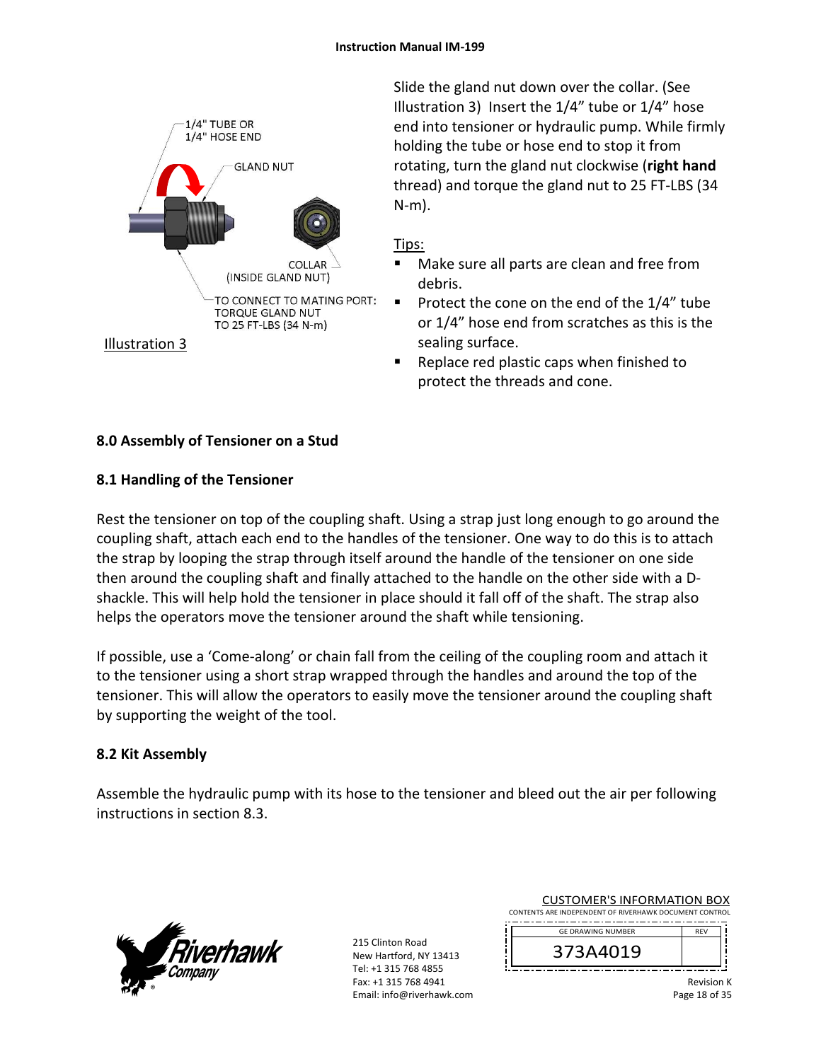

Slide the gland nut down over the collar. (See Illustration 3) Insert the 1/4" tube or 1/4" hose end into tensioner or hydraulic pump. While firmly holding the tube or hose end to stop it from rotating, turn the gland nut clockwise (**right hand** thread) and torque the gland nut to 25 FT‐LBS (34 N‐m).

# Tips:

- Make sure all parts are clean and free from debris.
- Protect the cone on the end of the  $1/4$ " tube or 1/4" hose end from scratches as this is the sealing surface.
- Replace red plastic caps when finished to protect the threads and cone.

# **8.0 Assembly of Tensioner on a Stud**

# **8.1 Handling of the Tensioner**

Rest the tensioner on top of the coupling shaft. Using a strap just long enough to go around the coupling shaft, attach each end to the handles of the tensioner. One way to do this is to attach the strap by looping the strap through itself around the handle of the tensioner on one side then around the coupling shaft and finally attached to the handle on the other side with a D‐ shackle. This will help hold the tensioner in place should it fall off of the shaft. The strap also helps the operators move the tensioner around the shaft while tensioning.

If possible, use a 'Come‐along' or chain fall from the ceiling of the coupling room and attach it to the tensioner using a short strap wrapped through the handles and around the top of the tensioner. This will allow the operators to easily move the tensioner around the coupling shaft by supporting the weight of the tool.

# **8.2 Kit Assembly**

Assemble the hydraulic pump with its hose to the tensioner and bleed out the air per following instructions in section 8.3.



215 Clinton Road New Hartford, NY 13413 Tel: +1 315 768 4855 Fax: +1 315 768 4941 Email: info@riverhawk.com

| <b>CUSTOMER'S INFORMATION BOX</b>                      |  |
|--------------------------------------------------------|--|
| CONTENTS ARE INDEPENDENT OF RIVERHAWK DOCUMENT CONTROL |  |

--------------------------------------REV GE DRAWING NUMBER



Revision K Page 18 of 35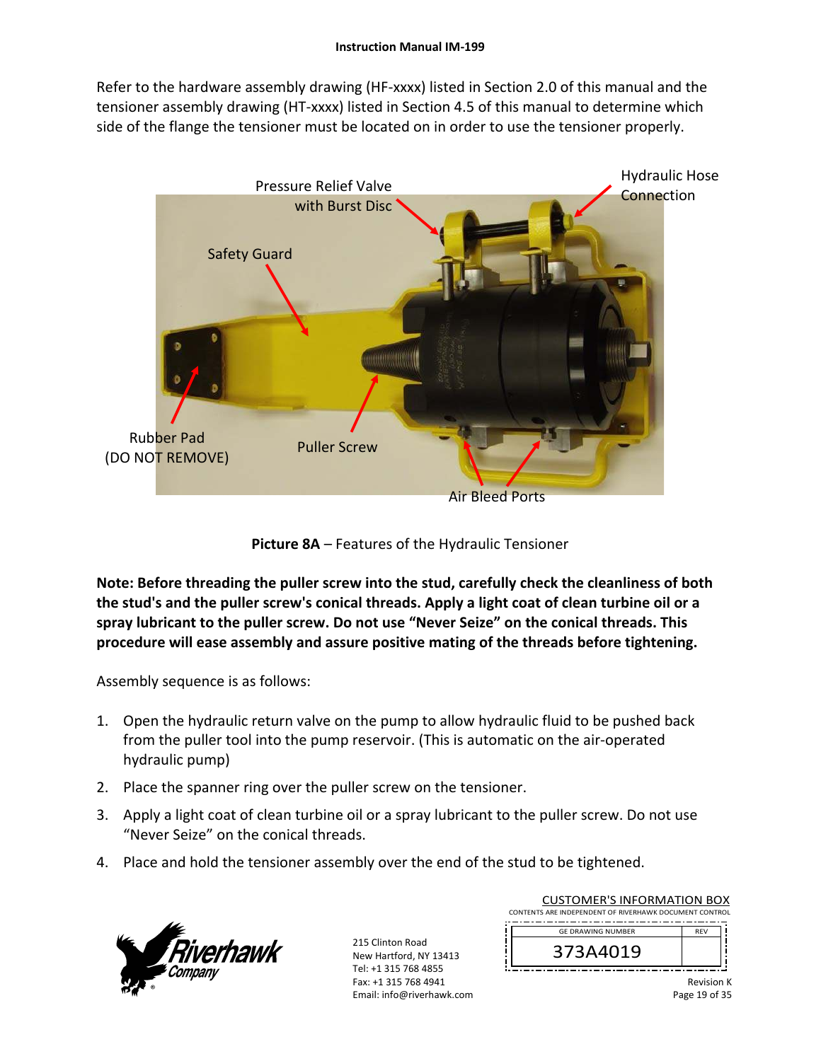Refer to the hardware assembly drawing (HF-xxxx) listed in Section 2.0 of this manual and the tensioner assembly drawing (HT‐xxxx) listed in Section 4.5 of this manual to determine which side of the flange the tensioner must be located on in order to use the tensioner properly.



**Picture 8A** – Features of the Hydraulic Tensioner

**Note: Before threading the puller screw into the stud, carefully check the cleanliness of both the stud's and the puller screw's conical threads. Apply a light coat of clean turbine oil or a spray lubricant to the puller screw. Do not use "Never Seize" on the conical threads. This procedure will ease assembly and assure positive mating of the threads before tightening.** 

Assembly sequence is as follows:

- 1. Open the hydraulic return valve on the pump to allow hydraulic fluid to be pushed back from the puller tool into the pump reservoir. (This is automatic on the air‐operated hydraulic pump)
- 2. Place the spanner ring over the puller screw on the tensioner.
- 3. Apply a light coat of clean turbine oil or a spray lubricant to the puller screw. Do not use "Never Seize" on the conical threads.
- 4. Place and hold the tensioner assembly over the end of the stud to be tightened.



| <b>CUSTOMER'S INFORMATION BOX</b><br>CONTENTS ARE INDEPENDENT OF RIVERHAWK DOCUMENT CONTROL |            |  |
|---------------------------------------------------------------------------------------------|------------|--|
| <b>GE DRAWING NUMBER</b>                                                                    | <b>RFV</b> |  |
| 373A4019                                                                                    |            |  |
|                                                                                             |            |  |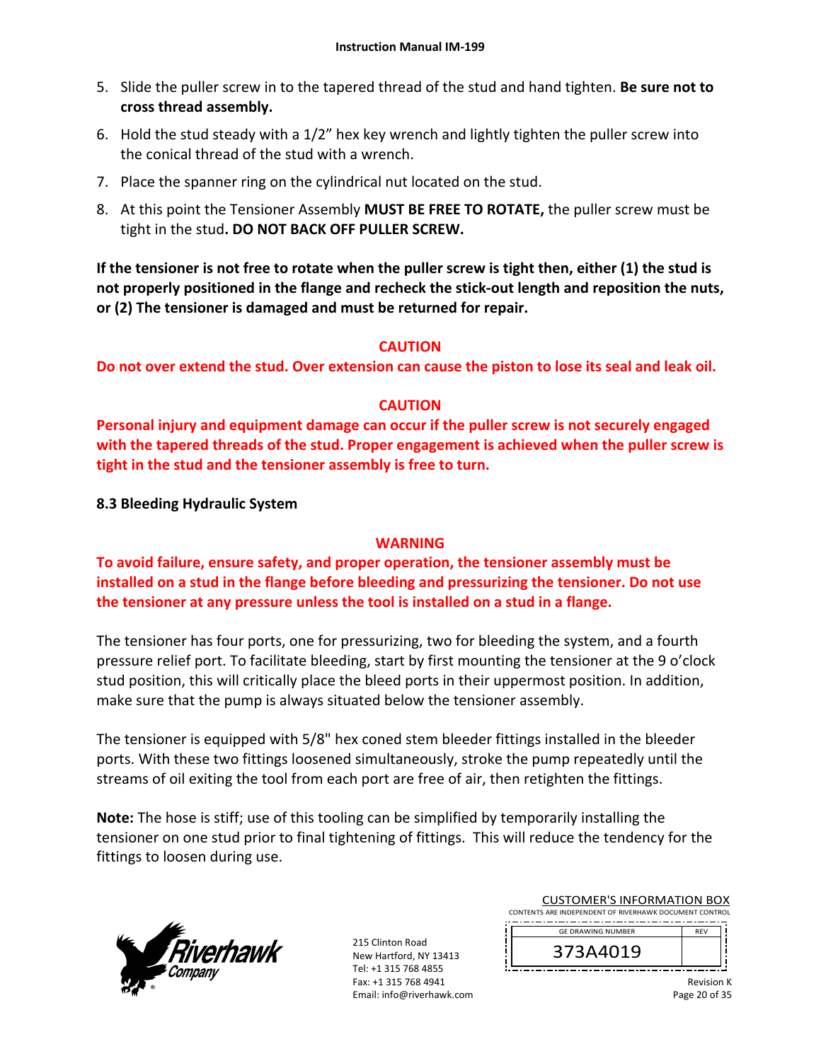- 5. Slide the puller screw in to the tapered thread of the stud and hand tighten. **Be sure not to cross thread assembly.**
- 6. Hold the stud steady with a 1/2" hex key wrench and lightly tighten the puller screw into the conical thread of the stud with a wrench.
- 7. Place the spanner ring on the cylindrical nut located on the stud.
- 8. At this point the Tensioner Assembly **MUST BE FREE TO ROTATE,** the puller screw must be tight in the stud**. DO NOT BACK OFF PULLER SCREW.**

**If the tensioner is not free to rotate when the puller screw is tight then, either (1) the stud is not properly positioned in the flange and recheck the stick‐out length and reposition the nuts, or (2) The tensioner is damaged and must be returned for repair.** 

# **CAUTION**

**Do not over extend the stud. Over extension can cause the piston to lose its seal and leak oil.** 

# **CAUTION**

**Personal injury and equipment damage can occur if the puller screw is not securely engaged with the tapered threads of the stud. Proper engagement is achieved when the puller screw is tight in the stud and the tensioner assembly is free to turn.** 

**8.3 Bleeding Hydraulic System** 

# **WARNING**

**To avoid failure, ensure safety, and proper operation, the tensioner assembly must be installed on a stud in the flange before bleeding and pressurizing the tensioner. Do not use the tensioner at any pressure unless the tool is installed on a stud in a flange.** 

The tensioner has four ports, one for pressurizing, two for bleeding the system, and a fourth pressure relief port. To facilitate bleeding, start by first mounting the tensioner at the 9 o'clock stud position, this will critically place the bleed ports in their uppermost position. In addition, make sure that the pump is always situated below the tensioner assembly.

The tensioner is equipped with 5/8" hex coned stem bleeder fittings installed in the bleeder ports. With these two fittings loosened simultaneously, stroke the pump repeatedly until the streams of oil exiting the tool from each port are free of air, then retighten the fittings.

**Note:** The hose is stiff; use of this tooling can be simplified by temporarily installing the tensioner on one stud prior to final tightening of fittings. This will reduce the tendency for the fittings to loosen during use.



215 Clinton Road New Hartford, NY 13413 Tel: +1 315 768 4855 Fax: +1 315 768 4941 Email: info@riverhawk.com

| <b>CUSTOMER'S INFORMATION BOX</b><br>CONTENTS ARE INDEPENDENT OF RIVERHAWK DOCUMENT CONTROL |            |
|---------------------------------------------------------------------------------------------|------------|
| <b>GE DRAWING NUMBER</b>                                                                    | <b>RFV</b> |
| 373A4019                                                                                    |            |

Revision K Page 20 of 35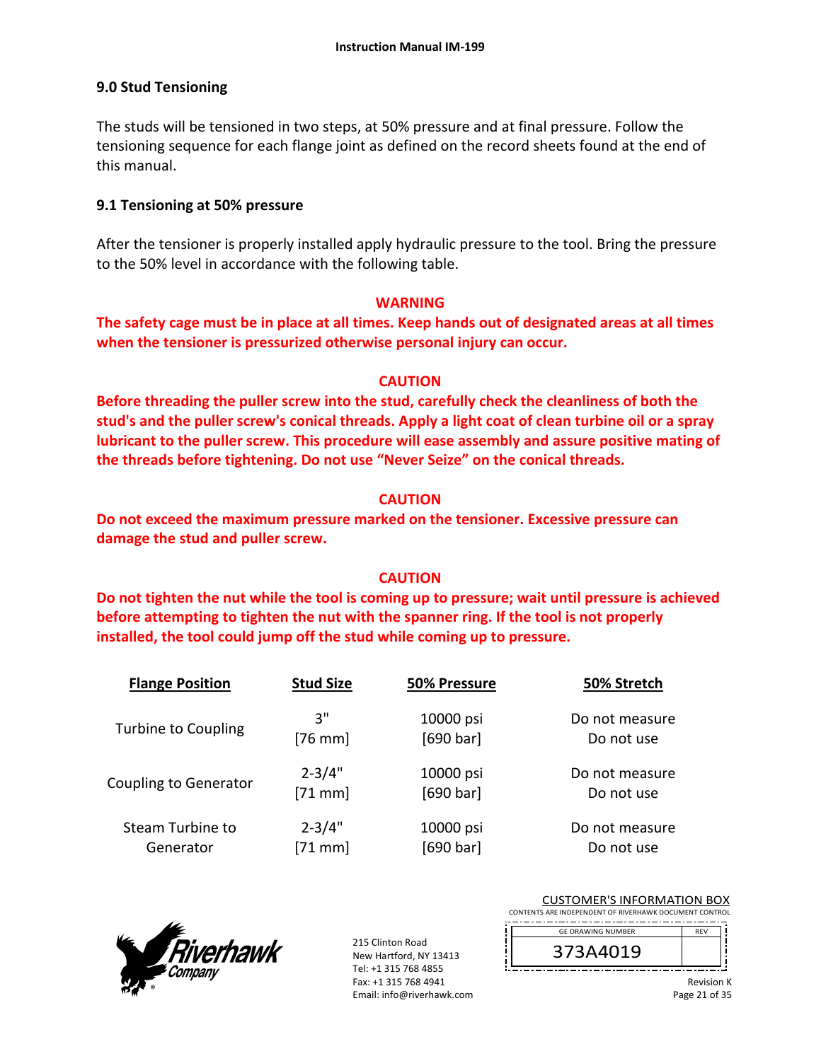# **9.0 Stud Tensioning**

The studs will be tensioned in two steps, at 50% pressure and at final pressure. Follow the tensioning sequence for each flange joint as defined on the record sheets found at the end of this manual.

## **9.1 Tensioning at 50% pressure**

After the tensioner is properly installed apply hydraulic pressure to the tool. Bring the pressure to the 50% level in accordance with the following table.

### **WARNING**

**The safety cage must be in place at all times. Keep hands out of designated areas at all times when the tensioner is pressurized otherwise personal injury can occur.** 

### **CAUTION**

**Before threading the puller screw into the stud, carefully check the cleanliness of both the stud's and the puller screw's conical threads. Apply a light coat of clean turbine oil or a spray lubricant to the puller screw. This procedure will ease assembly and assure positive mating of the threads before tightening. Do not use "Never Seize" on the conical threads.** 

# **CAUTION**

**Do not exceed the maximum pressure marked on the tensioner. Excessive pressure can damage the stud and puller screw.** 

### **CAUTION**

**Do not tighten the nut while the tool is coming up to pressure; wait until pressure is achieved before attempting to tighten the nut with the spanner ring. If the tool is not properly installed, the tool could jump off the stud while coming up to pressure.** 

| <b>Flange Position</b>       | <b>Stud Size</b> | 50% Pressure | 50% Stretch    |
|------------------------------|------------------|--------------|----------------|
| <b>Turbine to Coupling</b>   | 3"               | 10000 psi    | Do not measure |
|                              | $[76$ mm]        | [690 bar]    | Do not use     |
| <b>Coupling to Generator</b> | $2 - 3/4"$       | 10000 psi    | Do not measure |
|                              | $[71$ mm]        | [690 bar]    | Do not use     |
| Steam Turbine to             | $2 - 3/4"$       | 10000 psi    | Do not measure |
| Generator                    | $[71$ mm]        | [690 bar]    | Do not use     |



| <b>CUSTOMER'S INFORMATION BOX</b><br>CONTENTS ARE INDEPENDENT OF RIVERHAWK DOCUMENT CONTROL |                   |
|---------------------------------------------------------------------------------------------|-------------------|
| <b>GE DRAWING NUMBER</b>                                                                    | <b>RFV</b>        |
| 373A4019                                                                                    |                   |
|                                                                                             | <b>Revision K</b> |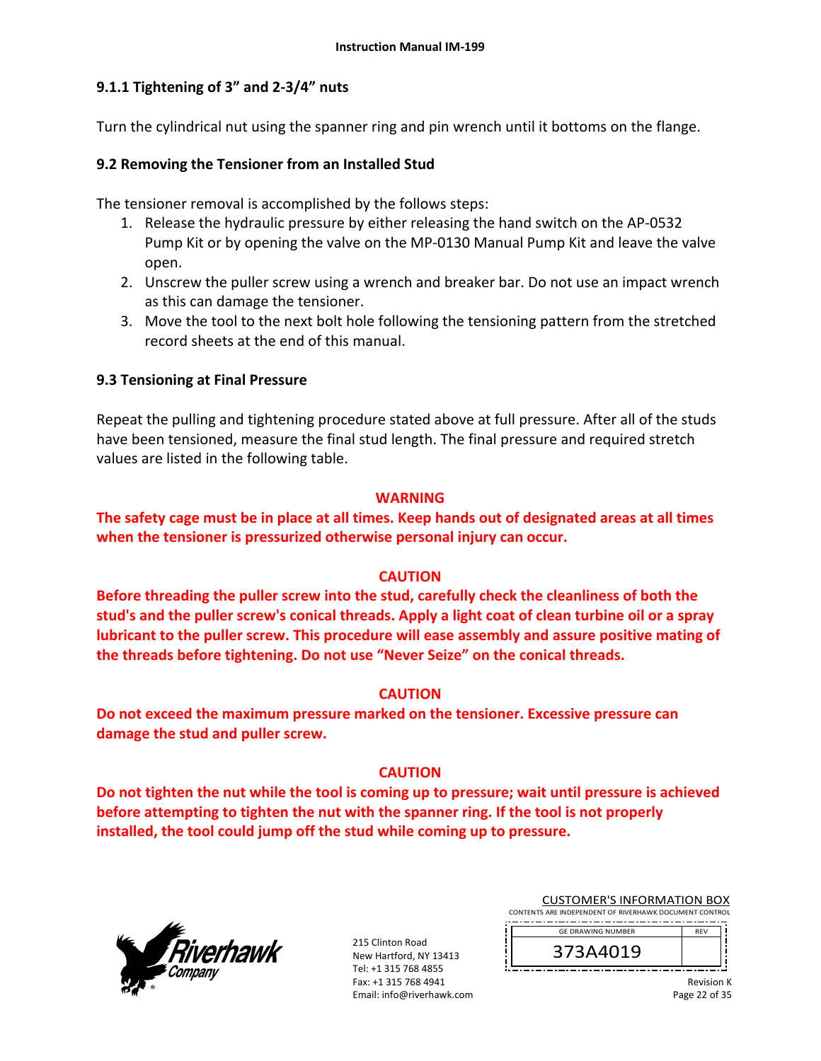# **9.1.1 Tightening of 3" and 2‐3/4" nuts**

Turn the cylindrical nut using the spanner ring and pin wrench until it bottoms on the flange.

## **9.2 Removing the Tensioner from an Installed Stud**

The tensioner removal is accomplished by the follows steps:

- 1. Release the hydraulic pressure by either releasing the hand switch on the AP‐0532 Pump Kit or by opening the valve on the MP‐0130 Manual Pump Kit and leave the valve open.
- 2. Unscrew the puller screw using a wrench and breaker bar. Do not use an impact wrench as this can damage the tensioner.
- 3. Move the tool to the next bolt hole following the tensioning pattern from the stretched record sheets at the end of this manual.

# **9.3 Tensioning at Final Pressure**

Repeat the pulling and tightening procedure stated above at full pressure. After all of the studs have been tensioned, measure the final stud length. The final pressure and required stretch values are listed in the following table.

### **WARNING**

# **The safety cage must be in place at all times. Keep hands out of designated areas at all times when the tensioner is pressurized otherwise personal injury can occur.**

### **CAUTION**

**Before threading the puller screw into the stud, carefully check the cleanliness of both the stud's and the puller screw's conical threads. Apply a light coat of clean turbine oil or a spray lubricant to the puller screw. This procedure will ease assembly and assure positive mating of the threads before tightening. Do not use "Never Seize" on the conical threads.** 

### **CAUTION**

**Do not exceed the maximum pressure marked on the tensioner. Excessive pressure can damage the stud and puller screw.** 

# **CAUTION**

**Do not tighten the nut while the tool is coming up to pressure; wait until pressure is achieved before attempting to tighten the nut with the spanner ring. If the tool is not properly installed, the tool could jump off the stud while coming up to pressure.**



215 Clinton Road New Hartford, NY 13413 Tel: +1 315 768 4855 Fax: +1 315 768 4941 Email: info@riverhawk.com

| <b>CUSTOMER'S INFORMATION BOX</b>                      |  |
|--------------------------------------------------------|--|
| CONTENTS ARE INDEPENDENT OF RIVERHAWK DOCUMENT CONTROL |  |
| <b>GF DRAWING NUMBER</b>                               |  |
|                                                        |  |

373A4019

Ï

Revision K Page 22 of 35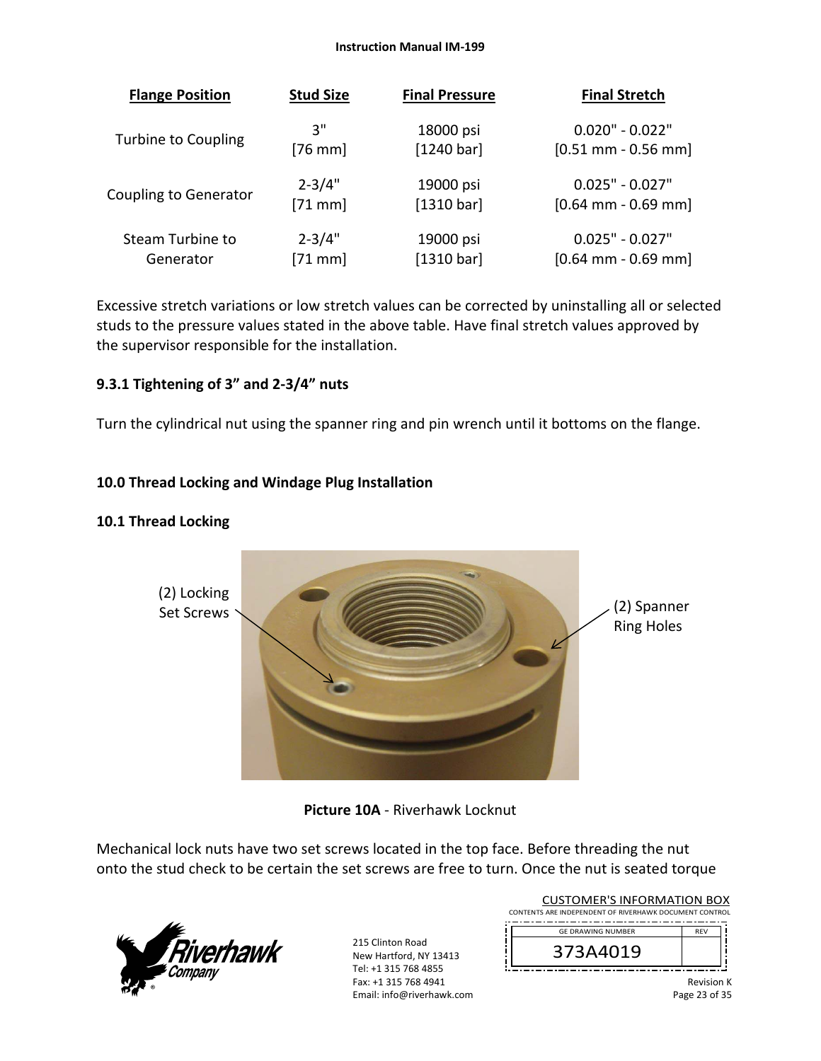#### **Instruction Manual IM‐199**

| <b>Flange Position</b>       | <b>Stud Size</b> | <b>Final Pressure</b> | <b>Final Stretch</b>  |
|------------------------------|------------------|-----------------------|-----------------------|
| <b>Turbine to Coupling</b>   | 3"               | 18000 psi             | $0.020" - 0.022"$     |
|                              | $[76$ mm]        | [1240 bar]            | $[0.51$ mm - 0.56 mm] |
| <b>Coupling to Generator</b> | $2 - 3/4"$       | 19000 psi             | $0.025" - 0.027"$     |
|                              | $[71$ mm]        | [1310 bar]            | $[0.64$ mm - 0.69 mm] |
| Steam Turbine to             | $2 - 3/4"$       | 19000 psi             | $0.025" - 0.027"$     |
| Generator                    | $[71$ mm]        | [1310 bar]            | $[0.64$ mm - 0.69 mm] |

Excessive stretch variations or low stretch values can be corrected by uninstalling all or selected studs to the pressure values stated in the above table. Have final stretch values approved by the supervisor responsible for the installation.

### **9.3.1 Tightening of 3" and 2‐3/4" nuts**

Turn the cylindrical nut using the spanner ring and pin wrench until it bottoms on the flange.

### **10.0 Thread Locking and Windage Plug Installation**

#### **10.1 Thread Locking**



### **Picture 10A** ‐ Riverhawk Locknut

Mechanical lock nuts have two set screws located in the top face. Before threading the nut onto the stud check to be certain the set screws are free to turn. Once the nut is seated torque



| <b>CUSTOMER'S INFORMATION BOX</b><br>CONTENTS ARE INDEPENDENT OF RIVERHAWK DOCUMENT CONTROL |            |
|---------------------------------------------------------------------------------------------|------------|
| <b>GF DRAWING NUMBER</b>                                                                    | <b>RFV</b> |
| 373A4019                                                                                    |            |
|                                                                                             |            |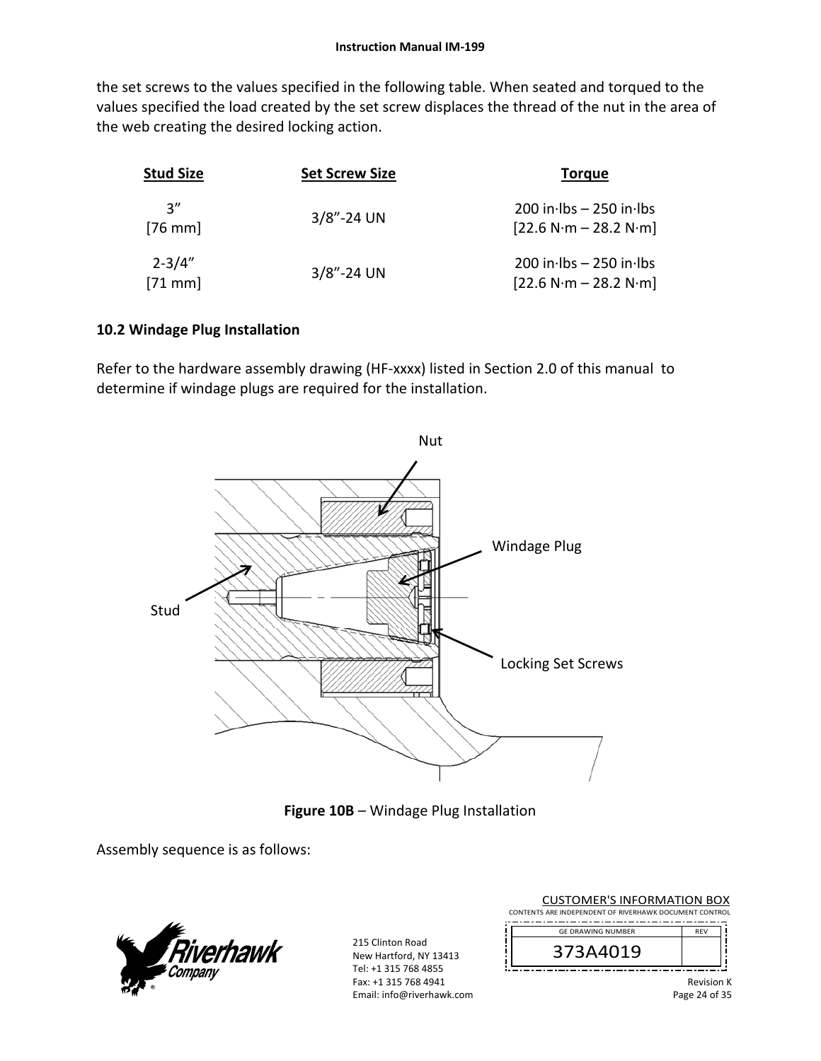the set screws to the values specified in the following table. When seated and torqued to the values specified the load created by the set screw displaces the thread of the nut in the area of the web creating the desired locking action.

| <b>Stud Size</b>       | <b>Set Screw Size</b> | <b>Torgue</b>                                         |
|------------------------|-----------------------|-------------------------------------------------------|
| יי 2<br>$[76$ mm]      | $3/8$ "-24 UN         | $200$ in lbs $-250$ in lbs<br>$[22.6 N·m - 28.2 N·m]$ |
| $2 - 3/4"$<br>$[71$ mm | $3/8$ "-24 UN         | $200$ in lbs $-250$ in lbs<br>$[22.6 N·m - 28.2 N·m]$ |

# **10.2 Windage Plug Installation**

Refer to the hardware assembly drawing (HF-xxxx) listed in Section 2.0 of this manual to determine if windage plugs are required for the installation.



**Figure 10B** – Windage Plug Installation

Assembly sequence is as follows:



215 Clinton Road New Hartford, NY 13413 Tel: +1 315 768 4855 Fax: +1 315 768 4941 Email: info@riverhawk.com

| <b>CUSTOMER'S INFORMATION BOX</b>                      |            |  |
|--------------------------------------------------------|------------|--|
| CONTENTS ARE INDEPENDENT OF RIVERHAWK DOCUMENT CONTROL |            |  |
| <b>GE DRAWING NUMBER</b>                               | <b>RFV</b> |  |
| 373A4019                                               |            |  |
|                                                        | Dovision V |  |

Revision K Page 24 of 35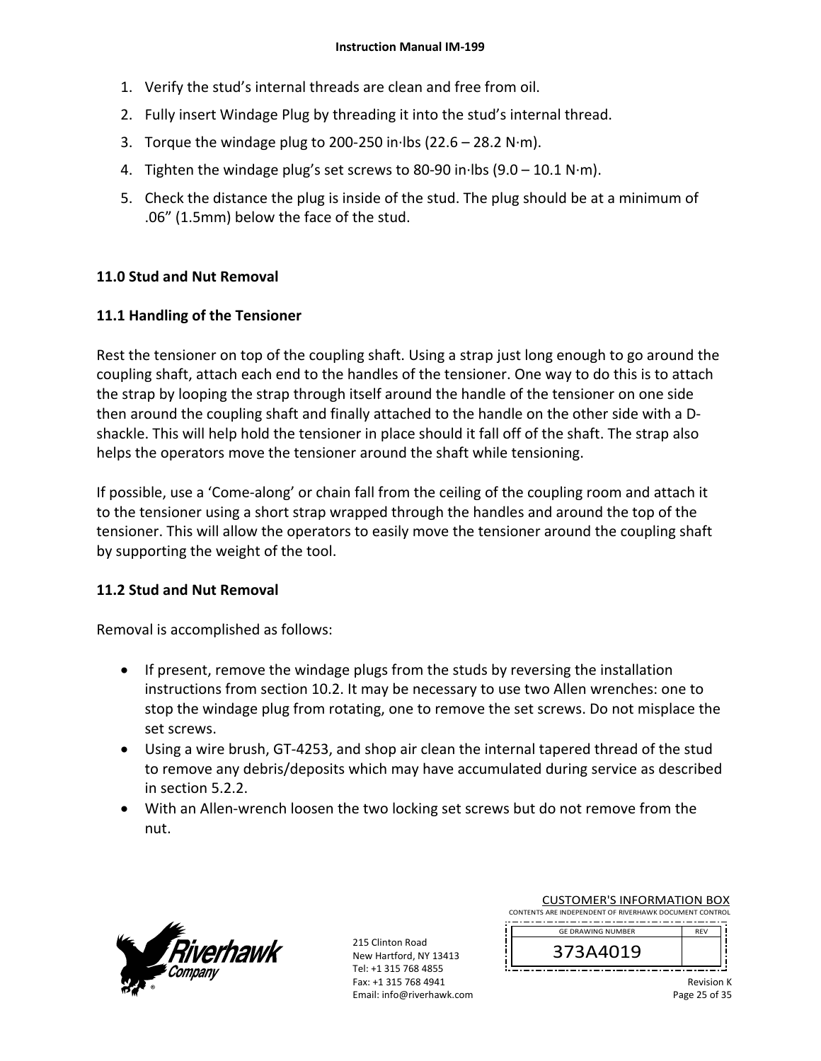- 1. Verify the stud's internal threads are clean and free from oil.
- 2. Fully insert Windage Plug by threading it into the stud's internal thread.
- 3. Torque the windage plug to 200‐250 in∙lbs (22.6 28.2 N∙m).
- 4. Tighten the windage plug's set screws to 80‐90 in∙lbs (9.0 10.1 N∙m).
- 5. Check the distance the plug is inside of the stud. The plug should be at a minimum of .06" (1.5mm) below the face of the stud.

### **11.0 Stud and Nut Removal**

### **11.1 Handling of the Tensioner**

Rest the tensioner on top of the coupling shaft. Using a strap just long enough to go around the coupling shaft, attach each end to the handles of the tensioner. One way to do this is to attach the strap by looping the strap through itself around the handle of the tensioner on one side then around the coupling shaft and finally attached to the handle on the other side with a D‐ shackle. This will help hold the tensioner in place should it fall off of the shaft. The strap also helps the operators move the tensioner around the shaft while tensioning.

If possible, use a 'Come‐along' or chain fall from the ceiling of the coupling room and attach it to the tensioner using a short strap wrapped through the handles and around the top of the tensioner. This will allow the operators to easily move the tensioner around the coupling shaft by supporting the weight of the tool.

### **11.2 Stud and Nut Removal**

Removal is accomplished as follows:

- If present, remove the windage plugs from the studs by reversing the installation instructions from section 10.2. It may be necessary to use two Allen wrenches: one to stop the windage plug from rotating, one to remove the set screws. Do not misplace the set screws.
- Using a wire brush, GT-4253, and shop air clean the internal tapered thread of the stud to remove any debris/deposits which may have accumulated during service as described in section 5.2.2.
- With an Allen-wrench loosen the two locking set screws but do not remove from the nut.



215 Clinton Road New Hartford, NY 13413 Tel: +1 315 768 4855 Fax: +1 315 768 4941 Email: info@riverhawk.com

| <u>CONTENTO ANE INDELENDENT OF INVENIAWIN DOCOMENT CONTINUE</u> |     |
|-----------------------------------------------------------------|-----|
| <b>GE DRAWING NUMBER</b>                                        | REV |
| 373A4019                                                        |     |
|                                                                 |     |

CONTENTS ARE INDEPENT

CUSTOMER'S INFORMATION BOX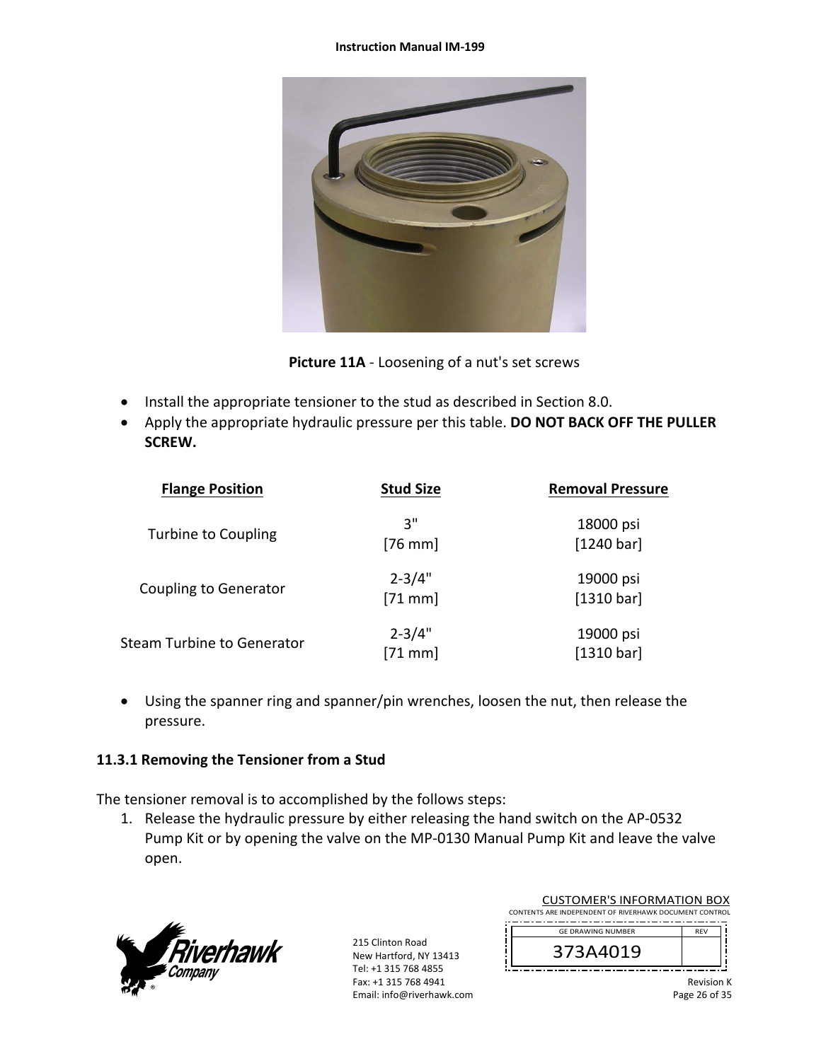#### **Instruction Manual IM‐199**



**Picture 11A** ‐ Loosening of a nut's set screws

- Install the appropriate tensioner to the stud as described in Section 8.0.
- Apply the appropriate hydraulic pressure per this table. **DO NOT BACK OFF THE PULLER SCREW.**

| <b>Flange Position</b>       | <b>Stud Size</b>        | <b>Removal Pressure</b> |
|------------------------------|-------------------------|-------------------------|
| <b>Turbine to Coupling</b>   | 3"<br>$[76$ mm]         | 18000 psi<br>[1240 bar] |
| <b>Coupling to Generator</b> | $2 - 3/4"$<br>$[71$ mm] | 19000 psi<br>[1310 bar] |
| Steam Turbine to Generator   | $2 - 3/4"$<br>$[71$ mm] | 19000 psi<br>[1310 bar] |

 Using the spanner ring and spanner/pin wrenches, loosen the nut, then release the pressure.

# **11.3.1 Removing the Tensioner from a Stud**

The tensioner removal is to accomplished by the follows steps:

1. Release the hydraulic pressure by either releasing the hand switch on the AP‐0532 Pump Kit or by opening the valve on the MP‐0130 Manual Pump Kit and leave the valve open.



| <b>CUSTOMER'S INFORMATION BOX</b>                      |            |  |  |  |  |
|--------------------------------------------------------|------------|--|--|--|--|
| CONTENTS ARE INDEPENDENT OF RIVERHAWK DOCUMENT CONTROL |            |  |  |  |  |
| <b>GE DRAWING NUMBER</b>                               | <b>RFV</b> |  |  |  |  |
| 373A4019                                               |            |  |  |  |  |
|                                                        |            |  |  |  |  |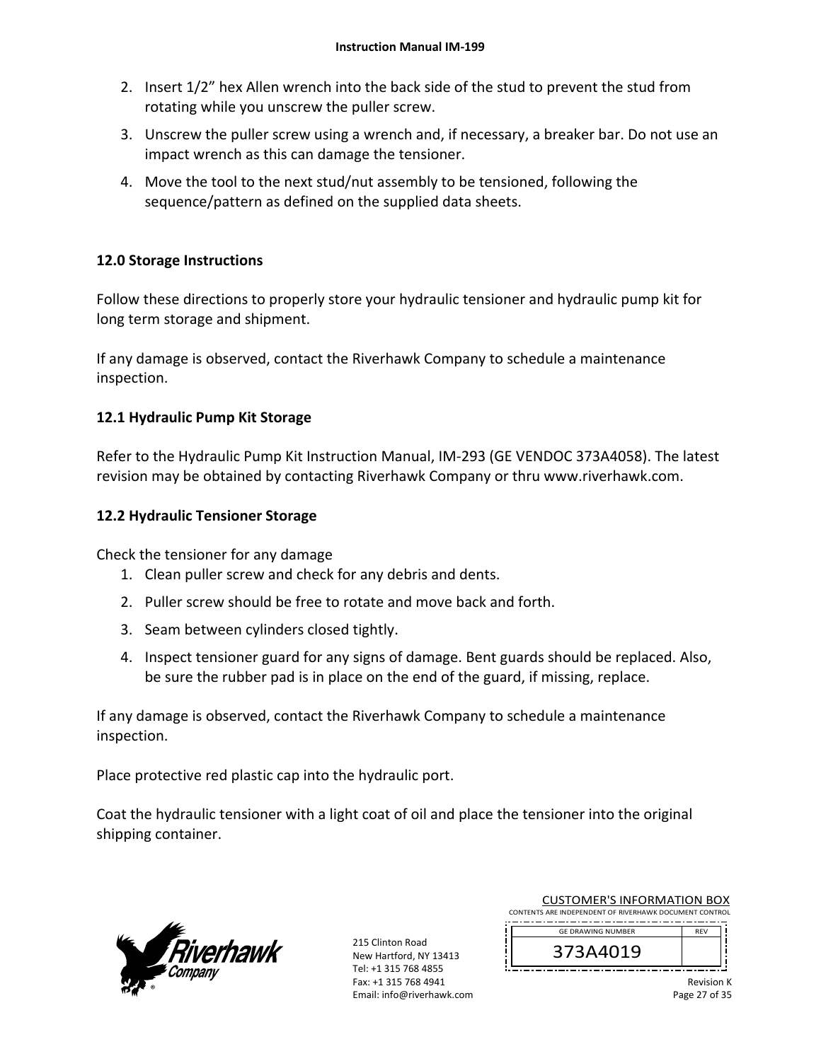- 2. Insert 1/2" hex Allen wrench into the back side of the stud to prevent the stud from rotating while you unscrew the puller screw.
- 3. Unscrew the puller screw using a wrench and, if necessary, a breaker bar. Do not use an impact wrench as this can damage the tensioner.
- 4. Move the tool to the next stud/nut assembly to be tensioned, following the sequence/pattern as defined on the supplied data sheets.

# **12.0 Storage Instructions**

Follow these directions to properly store your hydraulic tensioner and hydraulic pump kit for long term storage and shipment.

If any damage is observed, contact the Riverhawk Company to schedule a maintenance inspection.

# **12.1 Hydraulic Pump Kit Storage**

Refer to the Hydraulic Pump Kit Instruction Manual, IM‐293 (GE VENDOC 373A4058). The latest revision may be obtained by contacting Riverhawk Company or thru www.riverhawk.com.

# **12.2 Hydraulic Tensioner Storage**

Check the tensioner for any damage

- 1. Clean puller screw and check for any debris and dents.
- 2. Puller screw should be free to rotate and move back and forth.
- 3. Seam between cylinders closed tightly.
- 4. Inspect tensioner guard for any signs of damage. Bent guards should be replaced. Also, be sure the rubber pad is in place on the end of the guard, if missing, replace.

If any damage is observed, contact the Riverhawk Company to schedule a maintenance inspection.

Place protective red plastic cap into the hydraulic port.

Coat the hydraulic tensioner with a light coat of oil and place the tensioner into the original shipping container.



215 Clinton Road New Hartford, NY 13413 Tel: +1 315 768 4855 Fax: +1 315 768 4941 Email: info@riverhawk.com

| <b>CUSTOMER'S INFORMATION BOX</b>                      |  |  |  |  |  |
|--------------------------------------------------------|--|--|--|--|--|
| CONTENTS ARE INDEPENDENT OF RIVERHAWK DOCUMENT CONTROL |  |  |  |  |  |
| <b>GE DRAWING NUMBER</b>                               |  |  |  |  |  |
|                                                        |  |  |  |  |  |

373A4019

Revision K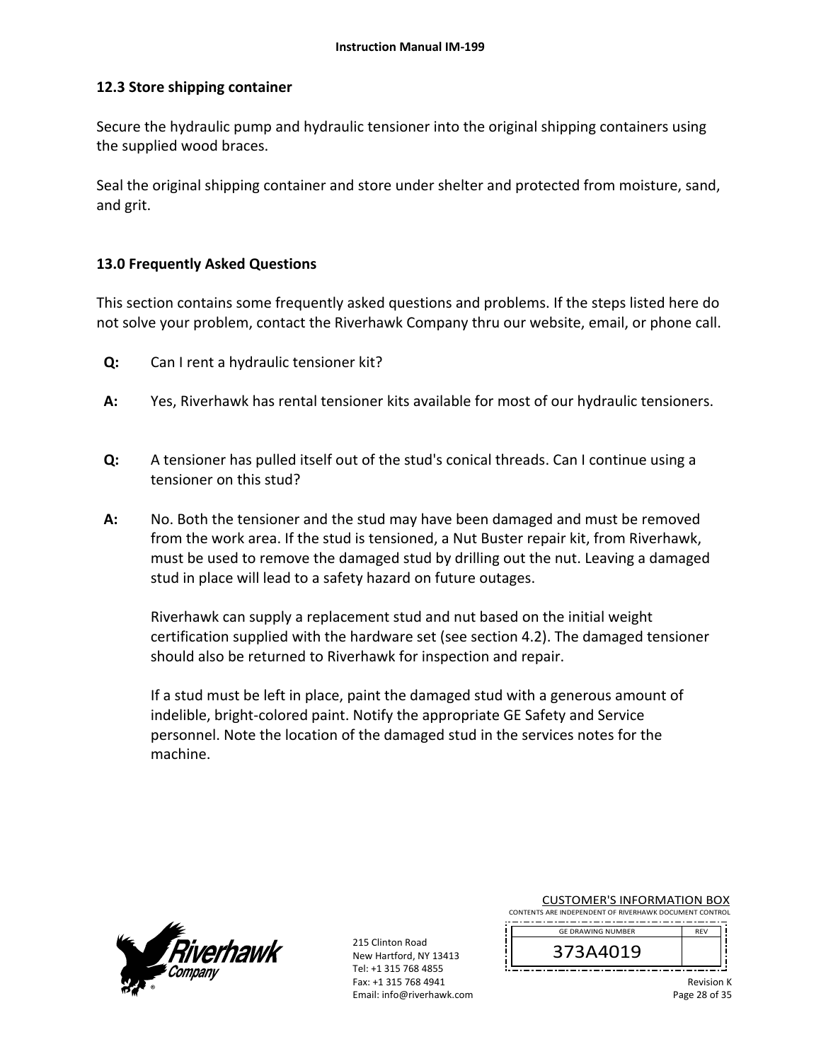### **12.3 Store shipping container**

Secure the hydraulic pump and hydraulic tensioner into the original shipping containers using the supplied wood braces.

Seal the original shipping container and store under shelter and protected from moisture, sand, and grit.

### **13.0 Frequently Asked Questions**

This section contains some frequently asked questions and problems. If the steps listed here do not solve your problem, contact the Riverhawk Company thru our website, email, or phone call.

- **Q:**  Can I rent a hydraulic tensioner kit?
- **A:**  Yes, Riverhawk has rental tensioner kits available for most of our hydraulic tensioners.
- **Q:**  A tensioner has pulled itself out of the stud's conical threads. Can I continue using a tensioner on this stud?
- **A:**  No. Both the tensioner and the stud may have been damaged and must be removed from the work area. If the stud is tensioned, a Nut Buster repair kit, from Riverhawk, must be used to remove the damaged stud by drilling out the nut. Leaving a damaged stud in place will lead to a safety hazard on future outages.

Riverhawk can supply a replacement stud and nut based on the initial weight certification supplied with the hardware set (see section 4.2). The damaged tensioner should also be returned to Riverhawk for inspection and repair.

If a stud must be left in place, paint the damaged stud with a generous amount of indelible, bright‐colored paint. Notify the appropriate GE Safety and Service personnel. Note the location of the damaged stud in the services notes for the machine.



215 Clinton Road New Hartford, NY 13413 Tel: +1 315 768 4855 Fax: +1 315 768 4941 Email: info@riverhawk.com

|  |  |  | <b>CUSTOMER'S INFORMATION BOX</b> |  |  |  |  |  |  |  |
|--|--|--|-----------------------------------|--|--|--|--|--|--|--|
|  |  |  |                                   |  |  |  |  |  |  |  |

CONTENTS ARE INDEPENDENT OF RIVERHAWK DOCUMENT CONTROL --------------------------------------REV GE DRAWING NUMBER



Revision K Page 28 of 35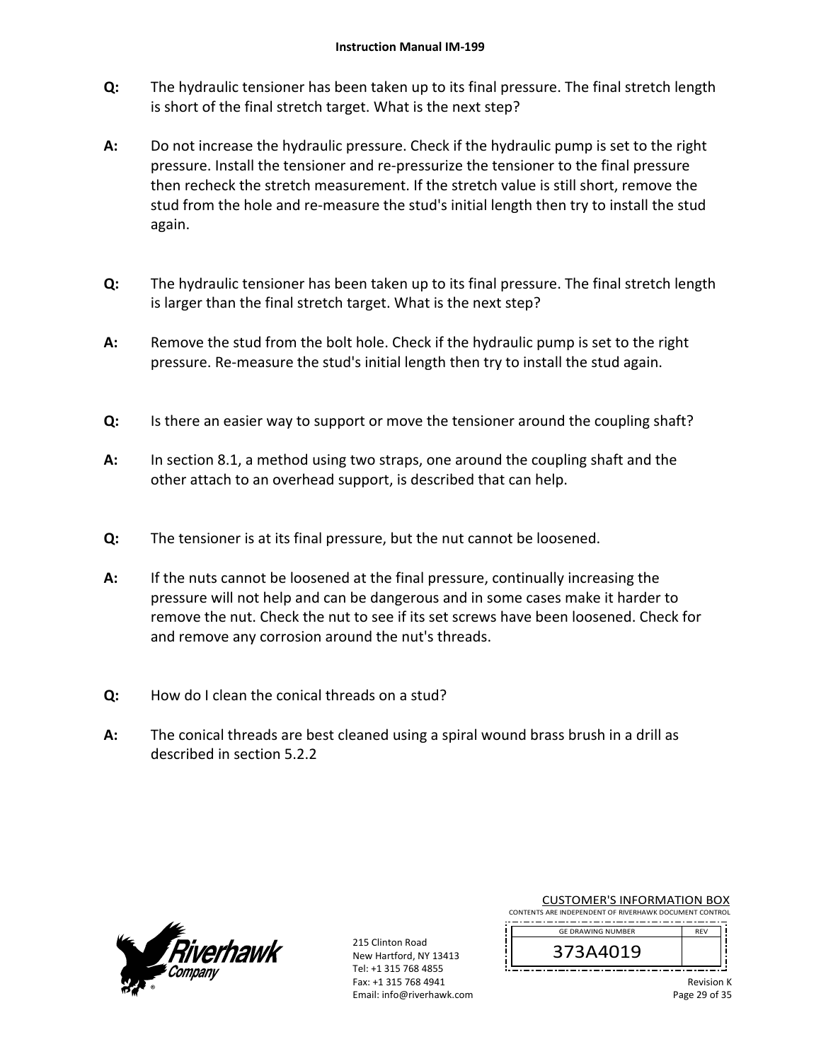- **Q:**  The hydraulic tensioner has been taken up to its final pressure. The final stretch length is short of the final stretch target. What is the next step?
- **A:**  Do not increase the hydraulic pressure. Check if the hydraulic pump is set to the right pressure. Install the tensioner and re‐pressurize the tensioner to the final pressure then recheck the stretch measurement. If the stretch value is still short, remove the stud from the hole and re‐measure the stud's initial length then try to install the stud again.
- **Q:**  The hydraulic tensioner has been taken up to its final pressure. The final stretch length is larger than the final stretch target. What is the next step?
- **A:**  Remove the stud from the bolt hole. Check if the hydraulic pump is set to the right pressure. Re‐measure the stud's initial length then try to install the stud again.
- **Q:**  Is there an easier way to support or move the tensioner around the coupling shaft?
- **A:**  In section 8.1, a method using two straps, one around the coupling shaft and the other attach to an overhead support, is described that can help.
- **Q:**  The tensioner is at its final pressure, but the nut cannot be loosened.
- **A:**  If the nuts cannot be loosened at the final pressure, continually increasing the pressure will not help and can be dangerous and in some cases make it harder to remove the nut. Check the nut to see if its set screws have been loosened. Check for and remove any corrosion around the nut's threads.
- **Q:**  How do I clean the conical threads on a stud?
- **A:**  The conical threads are best cleaned using a spiral wound brass brush in a drill as described in section 5.2.2



215 Clinton Road New Hartford, NY 13413 Tel: +1 315 768 4855 Fax: +1 315 768 4941 Email: info@riverhawk.com

| CONTENTS ARE INDEPENDENT OF RIVERHAWK DOCUMENT CONTROL |            |
|--------------------------------------------------------|------------|
| <b>GE DRAWING NUMBER</b>                               | <b>RFV</b> |
| 373A4019                                               |            |

CUSTOMER'S INFORMATION BOX

Revision K Page 29 of 35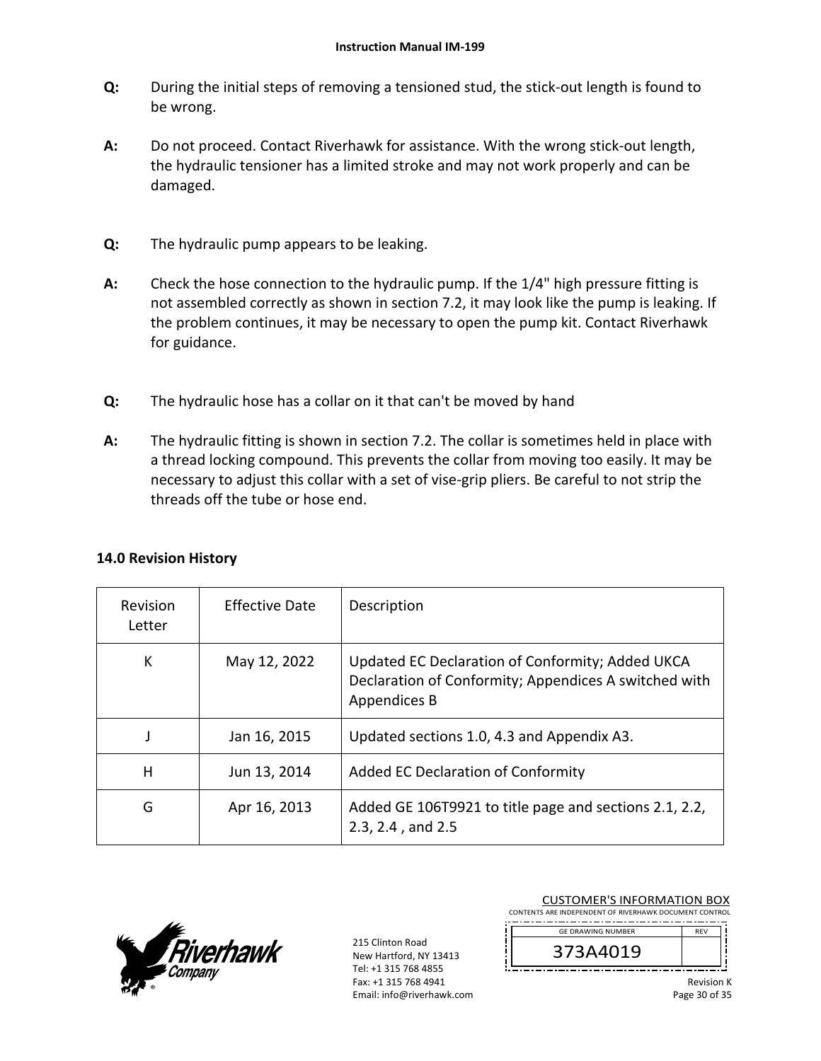- **Q:**  During the initial steps of removing a tensioned stud, the stick‐out length is found to be wrong.
- **A:**  Do not proceed. Contact Riverhawk for assistance. With the wrong stick-out length, the hydraulic tensioner has a limited stroke and may not work properly and can be damaged.
- **Q:**  The hydraulic pump appears to be leaking.
- **A:**  Check the hose connection to the hydraulic pump. If the 1/4" high pressure fitting is not assembled correctly as shown in section 7.2, it may look like the pump is leaking. If the problem continues, it may be necessary to open the pump kit. Contact Riverhawk for guidance.
- **Q:**  The hydraulic hose has a collar on it that can't be moved by hand
- **A:**  The hydraulic fitting is shown in section 7.2. The collar is sometimes held in place with a thread locking compound. This prevents the collar from moving too easily. It may be necessary to adjust this collar with a set of vise-grip pliers. Be careful to not strip the threads off the tube or hose end.

| Revision<br>Letter | <b>Effective Date</b> | Description                                                                                                               |
|--------------------|-----------------------|---------------------------------------------------------------------------------------------------------------------------|
| К                  | May 12, 2022          | Updated EC Declaration of Conformity; Added UKCA<br>Declaration of Conformity; Appendices A switched with<br>Appendices B |
|                    | Jan 16, 2015          | Updated sections 1.0, 4.3 and Appendix A3.                                                                                |
| н                  | Jun 13, 2014          | Added EC Declaration of Conformity                                                                                        |
| G                  | Apr 16, 2013          | Added GE 106T9921 to title page and sections 2.1, 2.2,<br>2.3, 2.4, and 2.5                                               |

# **14.0 Revision History**



215 Clinton Road New Hartford, NY 13413 Tel: +1 315 768 4855 Fax: +1 315 768 4941 Email: info@riverhawk.com

| <b>CUSTOMER'S INFORMATION BOX</b>                      |            |  |
|--------------------------------------------------------|------------|--|
| CONTENTS ARE INDEPENDENT OF RIVERHAWK DOCUMENT CONTROL |            |  |
| <b>GF DRAWING NUMBER</b>                               | RFV        |  |
| 373A4019                                               |            |  |
|                                                        | Revision K |  |

Revision K Page 30 of 35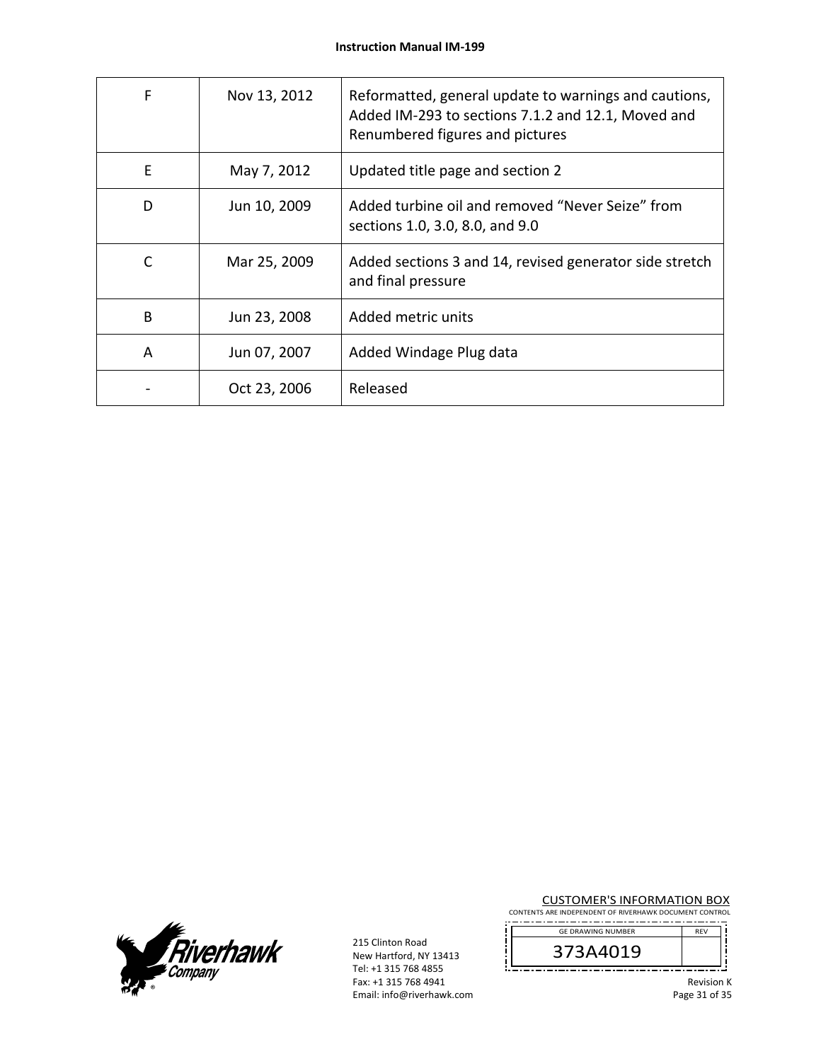| F | Nov 13, 2012 | Reformatted, general update to warnings and cautions,<br>Added IM-293 to sections 7.1.2 and 12.1, Moved and<br>Renumbered figures and pictures |
|---|--------------|------------------------------------------------------------------------------------------------------------------------------------------------|
| E | May 7, 2012  | Updated title page and section 2                                                                                                               |
| D | Jun 10, 2009 | Added turbine oil and removed "Never Seize" from<br>sections 1.0, 3.0, 8.0, and 9.0                                                            |
| C | Mar 25, 2009 | Added sections 3 and 14, revised generator side stretch<br>and final pressure                                                                  |
| B | Jun 23, 2008 | Added metric units                                                                                                                             |
| A | Jun 07, 2007 | Added Windage Plug data                                                                                                                        |
|   | Oct 23, 2006 | Released                                                                                                                                       |



215 Clinton Road New Hartford, NY 13413 Tel: +1 315 768 4855 Fax: +1 315 768 4941 Email: info@riverhawk.com

ļ

CUSTOMER'S INFORMATION BOX

CONTENTS ARE INDEPENDENT OF RIVERHAWK DOCUMENT CONTROL GE DRAWING NUMBER



Revision K Page 31 of 35

ļ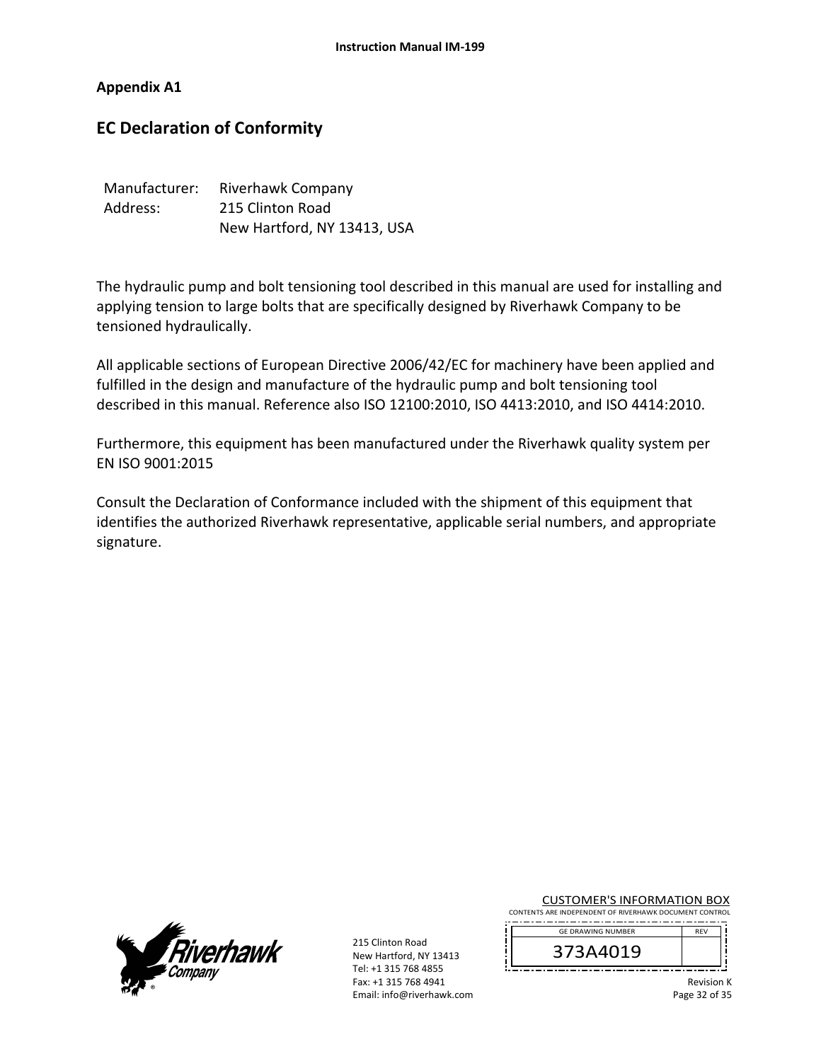### **Appendix A1**

# **EC Declaration of Conformity**

| Manufacturer: | Riverhawk Company           |
|---------------|-----------------------------|
| Address:      | 215 Clinton Road            |
|               | New Hartford, NY 13413, USA |

The hydraulic pump and bolt tensioning tool described in this manual are used for installing and applying tension to large bolts that are specifically designed by Riverhawk Company to be tensioned hydraulically.

All applicable sections of European Directive 2006/42/EC for machinery have been applied and fulfilled in the design and manufacture of the hydraulic pump and bolt tensioning tool described in this manual. Reference also ISO 12100:2010, ISO 4413:2010, and ISO 4414:2010.

Furthermore, this equipment has been manufactured under the Riverhawk quality system per EN ISO 9001:2015

Consult the Declaration of Conformance included with the shipment of this equipment that identifies the authorized Riverhawk representative, applicable serial numbers, and appropriate signature.



215 Clinton Road New Hartford, NY 13413 Tel: +1 315 768 4855 Fax: +1 315 768 4941 Email: info@riverhawk.com CUSTOMER'S INFORMATION BOX

CONTENTS ARE INDEPENDENT OF RIVERHAWK DOCUMENT CONTROL 



Revision K Page 32 of 35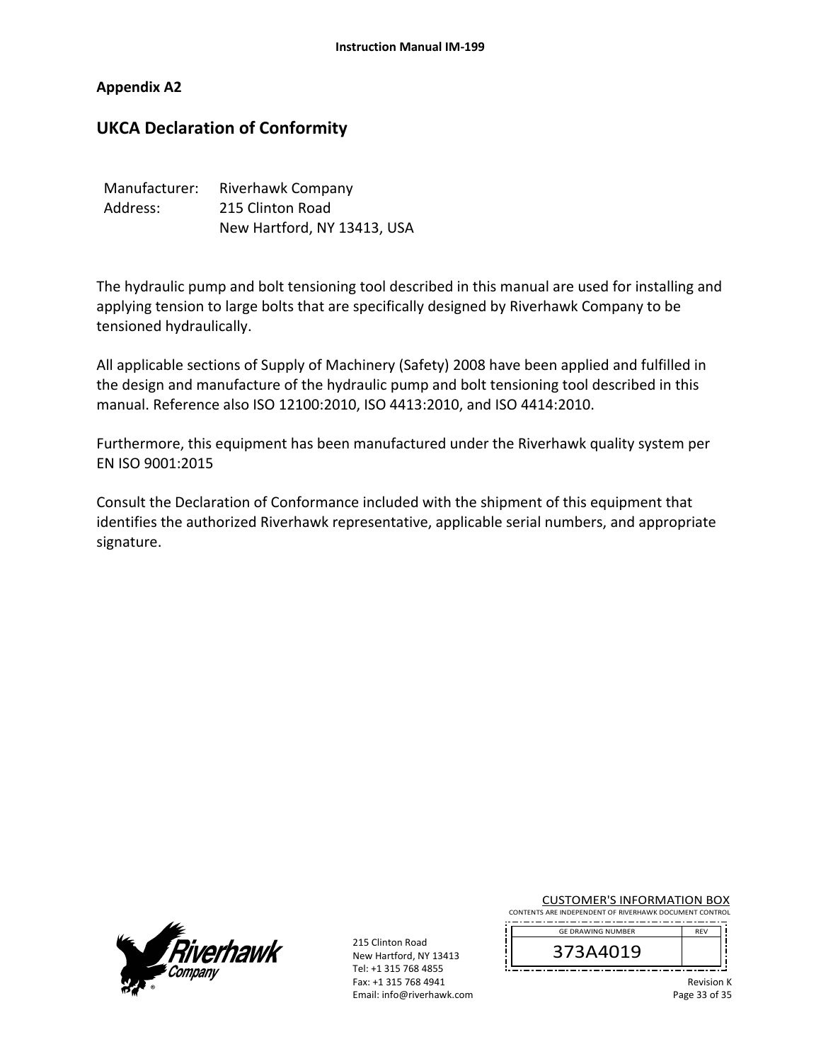### **Appendix A2**

# **UKCA Declaration of Conformity**

| Manufacturer: | Riverhawk Company           |
|---------------|-----------------------------|
| Address:      | 215 Clinton Road            |
|               | New Hartford, NY 13413, USA |

The hydraulic pump and bolt tensioning tool described in this manual are used for installing and applying tension to large bolts that are specifically designed by Riverhawk Company to be tensioned hydraulically.

All applicable sections of Supply of Machinery (Safety) 2008 have been applied and fulfilled in the design and manufacture of the hydraulic pump and bolt tensioning tool described in this manual. Reference also ISO 12100:2010, ISO 4413:2010, and ISO 4414:2010.

Furthermore, this equipment has been manufactured under the Riverhawk quality system per EN ISO 9001:2015

Consult the Declaration of Conformance included with the shipment of this equipment that identifies the authorized Riverhawk representative, applicable serial numbers, and appropriate signature.



215 Clinton Road New Hartford, NY 13413 Tel: +1 315 768 4855 Fax: +1 315 768 4941 Email: info@riverhawk.com CUSTOMER'S INFORMATION BOX

CONTENTS ARE INDEPENDENT OF RIVERHAWK DOCUMENT CONTROL 



Revision K Page 33 of 35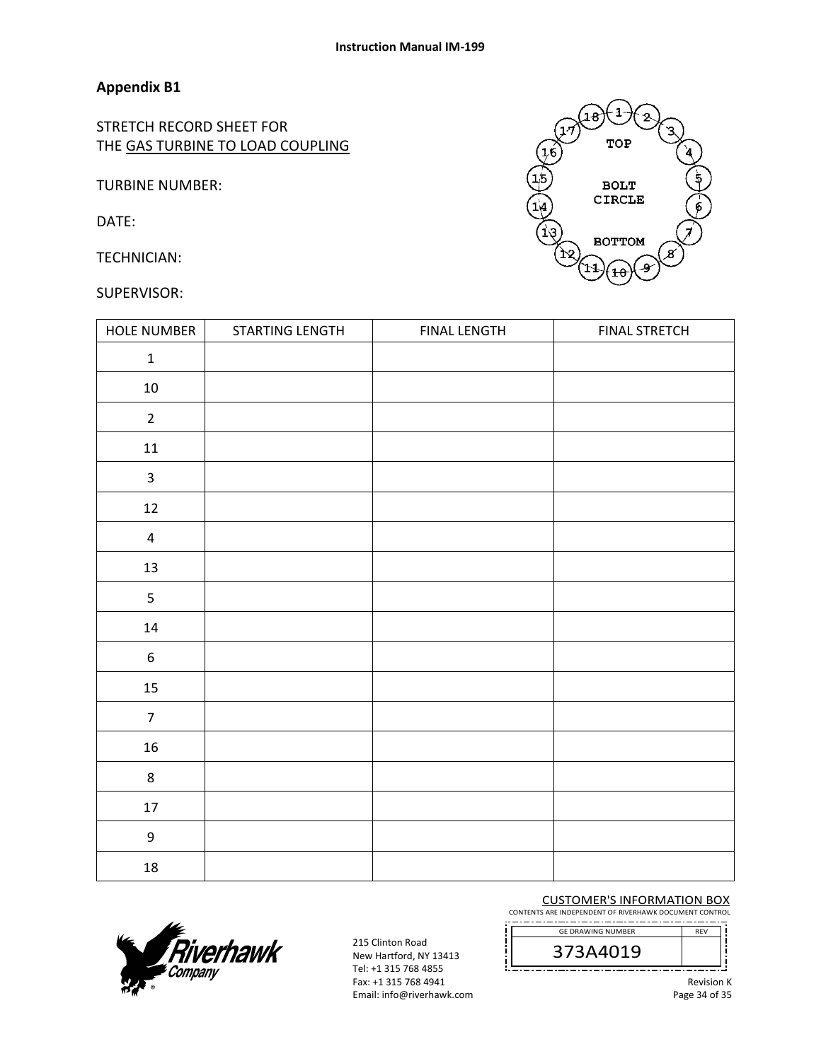# **Appendix B1**

STRETCH RECORD SHEET FOR THE GAS TURBINE TO LOAD COUPLING

TURBINE NUMBER:

DATE:

TECHNICIAN:

### SUPERVISOR:



| HOLE NUMBER      | STARTING LENGTH | <b>FINAL LENGTH</b> | <b>FINAL STRETCH</b> |
|------------------|-----------------|---------------------|----------------------|
| $\mathbf 1$      |                 |                     |                      |
| $10\,$           |                 |                     |                      |
| $\overline{2}$   |                 |                     |                      |
| $11\,$           |                 |                     |                      |
| $\mathbf{3}$     |                 |                     |                      |
| $12\,$           |                 |                     |                      |
| $\pmb{4}$        |                 |                     |                      |
| $13\,$           |                 |                     |                      |
| 5                |                 |                     |                      |
| $14\,$           |                 |                     |                      |
| $\boldsymbol{6}$ |                 |                     |                      |
| 15               |                 |                     |                      |
| $\overline{7}$   |                 |                     |                      |
| $16\,$           |                 |                     |                      |
| $\,8\,$          |                 |                     |                      |
| $17\,$           |                 |                     |                      |
| 9                |                 |                     |                      |
| 18               |                 |                     |                      |



215 Clinton Road New Hartford, NY 13413 Tel: +1 315 768 4855 Fax: +1 315 768 4941 Email: info@riverhawk.com CUSTOMER'S INFORMATION BOX

CONTENTS ARE INDEPENDENT OF RIVERHAWK DOCUMENT CONTROL GE DRAWING NUMBER

373A4019

Revision K Page 34 of 35

REV